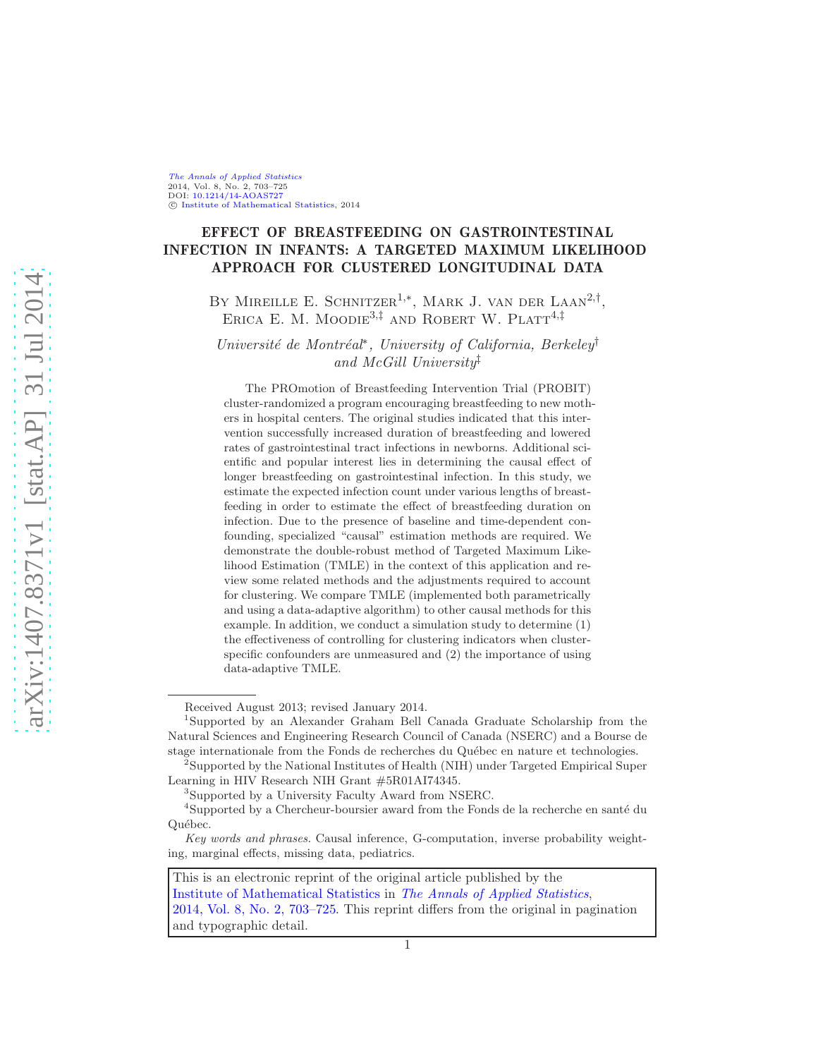[The Annals of Applied Statistics](http://www.imstat.org/aoas/) 2014, Vol. 8, No. 2, 703–725 DOI: [10.1214/14-AOAS727](http://dx.doi.org/10.1214/14-AOAS727) c [Institute of Mathematical Statistics,](http://www.imstat.org) 2014

# EFFECT OF BREASTFEEDING ON GASTROINTESTINAL INFECTION IN INFANTS: A TARGETED MAXIMUM LIKELIHOOD APPROACH FOR CLUSTERED LONGITUDINAL DATA

BY MIREILLE E. SCHNITZER<sup>1,\*</sup>, MARK J. VAN DER LAAN<sup>2,†</sup>, ERICA E. M. MOODIE<sup>3, $\ddagger$ </sup> AND ROBERT W. PLATT<sup>4, $\ddagger$ </sup>

Université de Montréal<sup>∗</sup>, University of California, Berkeley<sup>†</sup> and McGill University‡

The PROmotion of Breastfeeding Intervention Trial (PROBIT) cluster-randomized a program encouraging breastfeeding to new mothers in hospital centers. The original studies indicated that this intervention successfully increased duration of breastfeeding and lowered rates of gastrointestinal tract infections in newborns. Additional scientific and popular interest lies in determining the causal effect of longer breastfeeding on gastrointestinal infection. In this study, we estimate the expected infection count under various lengths of breastfeeding in order to estimate the effect of breastfeeding duration on infection. Due to the presence of baseline and time-dependent confounding, specialized "causal" estimation methods are required. We demonstrate the double-robust method of Targeted Maximum Likelihood Estimation (TMLE) in the context of this application and review some related methods and the adjustments required to account for clustering. We compare TMLE (implemented both parametrically and using a data-adaptive algorithm) to other causal methods for this example. In addition, we conduct a simulation study to determine (1) the effectiveness of controlling for clustering indicators when clusterspecific confounders are unmeasured and (2) the importance of using data-adaptive TMLE.

Received August 2013; revised January 2014.

<sup>1</sup> Supported by an Alexander Graham Bell Canada Graduate Scholarship from the Natural Sciences and Engineering Research Council of Canada (NSERC) and a Bourse de stage internationale from the Fonds de recherches du Québec en nature et technologies.

<sup>&</sup>lt;sup>2</sup>Supported by the National Institutes of Health (NIH) under Targeted Empirical Super Learning in HIV Research NIH Grant #5R01AI74345.

<sup>3</sup>Supported by a University Faculty Award from NSERC.

 $4$ Supported by a Chercheur-boursier award from the Fonds de la recherche en santé du Québec.

Key words and phrases. Causal inference, G-computation, inverse probability weighting, marginal effects, missing data, pediatrics.

This is an electronic reprint of the original article published by the [Institute of Mathematical Statistics](http://www.imstat.org) in [The Annals of Applied Statistics](http://www.imstat.org/aoas/), [2014, Vol. 8, No. 2, 703–725.](http://dx.doi.org/10.1214/14-AOAS727) This reprint differs from the original in pagination and typographic detail.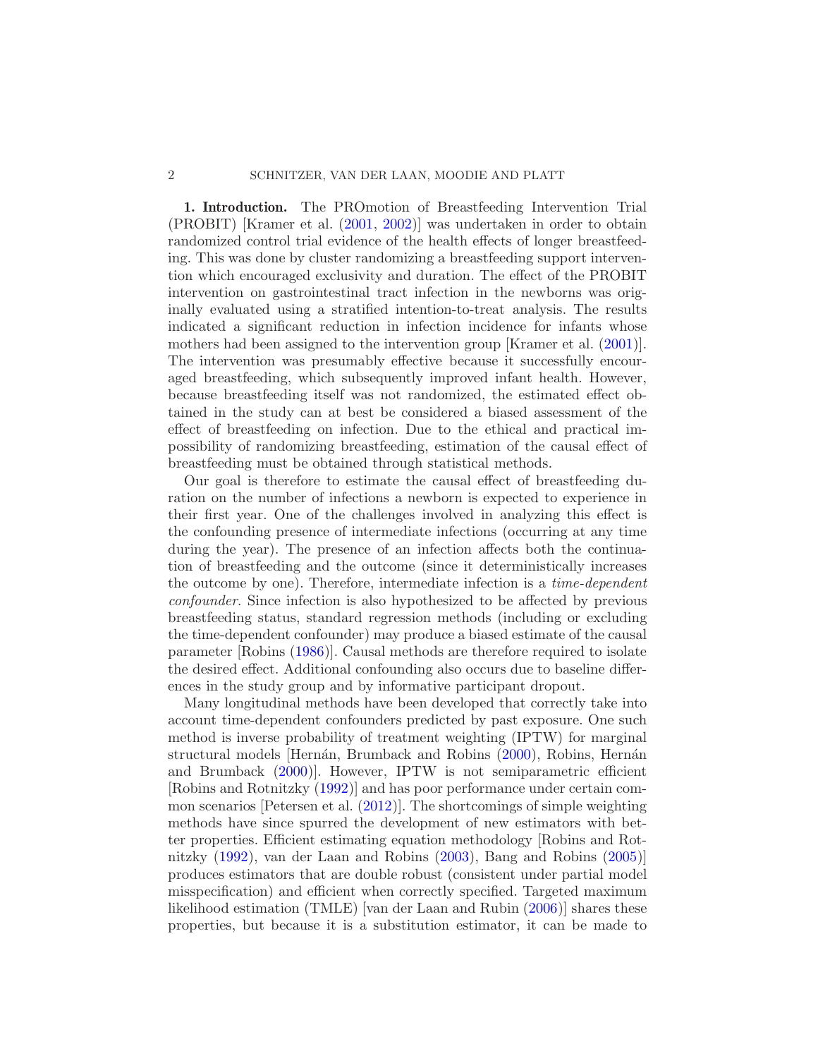# 2 SCHNITZER, VAN DER LAAN, MOODIE AND PLATT

1. Introduction. The PROmotion of Breastfeeding Intervention Trial (PROBIT) [Kramer et al. [\(2001](#page-21-0), [2002](#page-21-1))] was undertaken in order to obtain randomized control trial evidence of the health effects of longer breastfeeding. This was done by cluster randomizing a breastfeeding support intervention which encouraged exclusivity and duration. The effect of the PROBIT intervention on gastrointestinal tract infection in the newborns was originally evaluated using a stratified intention-to-treat analysis. The results indicated a significant reduction in infection incidence for infants whose mothers had been assigned to the intervention group [Kramer et al.  $(2001)$ ]. The intervention was presumably effective because it successfully encouraged breastfeeding, which subsequently improved infant health. However, because breastfeeding itself was not randomized, the estimated effect obtained in the study can at best be considered a biased assessment of the effect of breastfeeding on infection. Due to the ethical and practical impossibility of randomizing breastfeeding, estimation of the causal effect of breastfeeding must be obtained through statistical methods.

Our goal is therefore to estimate the causal effect of breastfeeding duration on the number of infections a newborn is expected to experience in their first year. One of the challenges involved in analyzing this effect is the confounding presence of intermediate infections (occurring at any time during the year). The presence of an infection affects both the continuation of breastfeeding and the outcome (since it deterministically increases the outcome by one). Therefore, intermediate infection is a *time-dependent* confounder. Since infection is also hypothesized to be affected by previous breastfeeding status, standard regression methods (including or excluding the time-dependent confounder) may produce a biased estimate of the causal parameter [Robins [\(1986\)](#page-22-0)]. Causal methods are therefore required to isolate the desired effect. Additional confounding also occurs due to baseline differences in the study group and by informative participant dropout.

Many longitudinal methods have been developed that correctly take into account time-dependent confounders predicted by past exposure. One such method is inverse probability of treatment weighting (IPTW) for marginal structural models [Hernán, Brumback and Robins [\(2000](#page-21-2)), Robins, Hernán and Brumback [\(2000](#page-22-1))]. However, IPTW is not semiparametric efficient [Robins and Rotnitzky [\(1992](#page-22-2))] and has poor performance under certain common scenarios [Petersen et al. [\(2012](#page-22-3))]. The shortcomings of simple weighting methods have since spurred the development of new estimators with better properties. Efficient estimating equation methodology [Robins and Rotnitzky [\(1992\)](#page-22-2), van der Laan and Robins [\(2003](#page-23-0)), Bang and Robins [\(2005](#page-21-3))] produces estimators that are double robust (consistent under partial model misspecification) and efficient when correctly specified. Targeted maximum likelihood estimation (TMLE) [van der Laan and Rubin [\(2006](#page-23-1))] shares these properties, but because it is a substitution estimator, it can be made to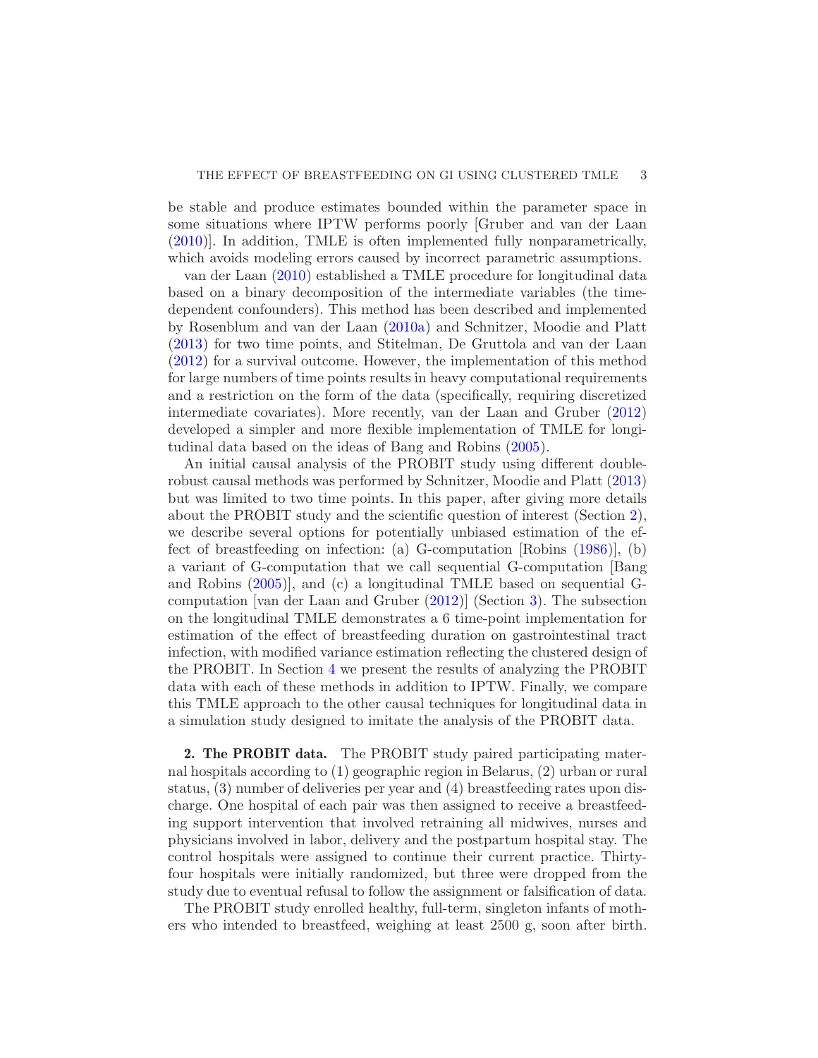be stable and produce estimates bounded within the parameter space in some situations where IPTW performs poorly [Gruber and van der Laan [\(2010\)](#page-21-4)]. In addition, TMLE is often implemented fully nonparametrically, which avoids modeling errors caused by incorrect parametric assumptions.

van der Laan [\(2010](#page-23-2)) established a TMLE procedure for longitudinal data based on a binary decomposition of the intermediate variables (the timedependent confounders). This method has been described and implemented by Rosenblum and van der Laan [\(2010a](#page-22-4)) and Schnitzer, Moodie and Platt [\(2013\)](#page-22-5) for two time points, and Stitelman, De Gruttola and van der Laan [\(2012\)](#page-22-6) for a survival outcome. However, the implementation of this method for large numbers of time points results in heavy computational requirements and a restriction on the form of the data (specifically, requiring discretized intermediate covariates). More recently, van der Laan and Gruber [\(2012](#page-23-3)) developed a simpler and more flexible implementation of TMLE for longitudinal data based on the ideas of Bang and Robins [\(2005](#page-21-3)).

An initial causal analysis of the PROBIT study using different doublerobust causal methods was performed by Schnitzer, Moodie and Platt [\(2013](#page-22-5)) but was limited to two time points. In this paper, after giving more details about the PROBIT study and the scientific question of interest (Section [2\)](#page-2-0), we describe several options for potentially unbiased estimation of the effect of breastfeeding on infection: (a) G-computation [Robins [\(1986](#page-22-0))], (b) a variant of G-computation that we call sequential G-computation [Bang and Robins [\(2005](#page-21-3))], and (c) a longitudinal TMLE based on sequential Gcomputation [van der Laan and Gruber [\(2012](#page-23-3))] (Section [3\)](#page-5-0). The subsection on the longitudinal TMLE demonstrates a 6 time-point implementation for estimation of the effect of breastfeeding duration on gastrointestinal tract infection, with modified variance estimation reflecting the clustered design of the PROBIT. In Section [4](#page-14-0) we present the results of analyzing the PROBIT data with each of these methods in addition to IPTW. Finally, we compare this TMLE approach to the other causal techniques for longitudinal data in a simulation study designed to imitate the analysis of the PROBIT data.

<span id="page-2-0"></span>2. The PROBIT data. The PROBIT study paired participating maternal hospitals according to (1) geographic region in Belarus, (2) urban or rural status, (3) number of deliveries per year and (4) breastfeeding rates upon discharge. One hospital of each pair was then assigned to receive a breastfeeding support intervention that involved retraining all midwives, nurses and physicians involved in labor, delivery and the postpartum hospital stay. The control hospitals were assigned to continue their current practice. Thirtyfour hospitals were initially randomized, but three were dropped from the study due to eventual refusal to follow the assignment or falsification of data.

The PROBIT study enrolled healthy, full-term, singleton infants of mothers who intended to breastfeed, weighing at least 2500 g, soon after birth.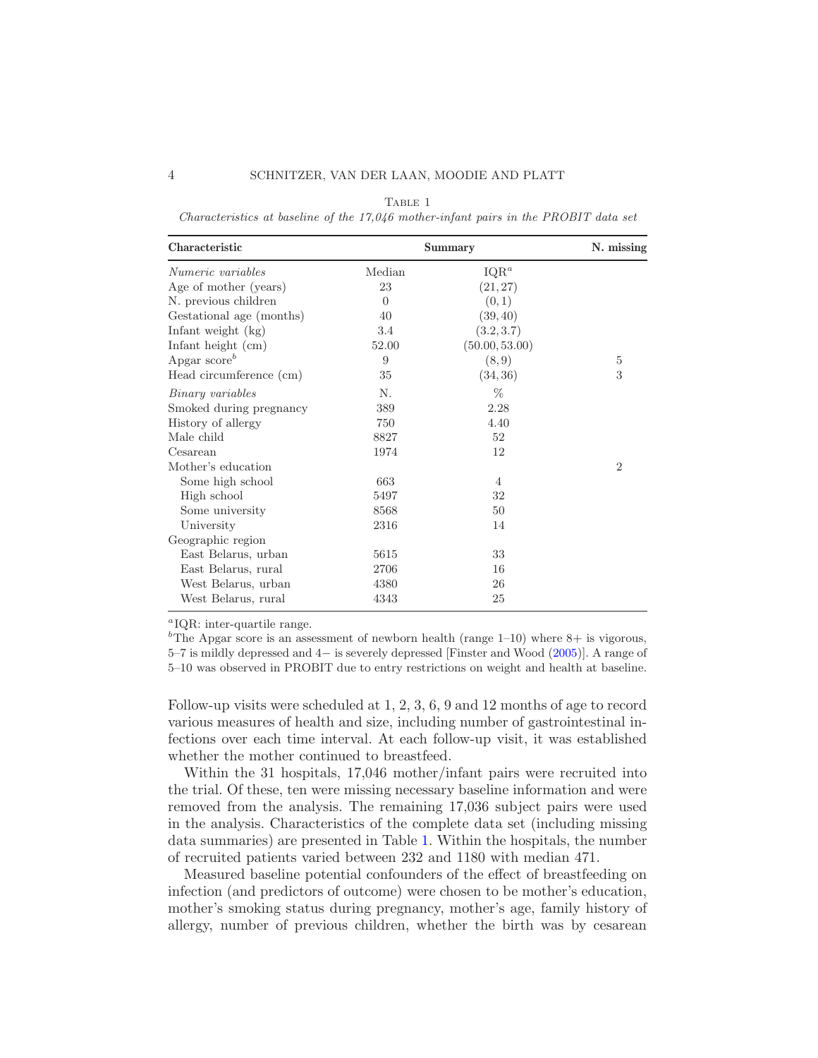#### Table 1

<span id="page-3-0"></span>Characteristics at baseline of the 17,046 mother-infant pairs in the PROBIT data set

| Characteristic           | <b>Summary</b> | N. missing     |                |
|--------------------------|----------------|----------------|----------------|
| Numeric variables        | Median         | $IQR^a$        |                |
| Age of mother (years)    | 23             | (21, 27)       |                |
| N. previous children     | $\theta$       | (0,1)          |                |
| Gestational age (months) | 40             | (39, 40)       |                |
| Infant weight $(kg)$     | 3.4            | (3.2, 3.7)     |                |
| Infant height (cm)       | 52.00          | (50.00, 53.00) |                |
| Apgar $score^b$          | 9              | (8,9)          | $\overline{5}$ |
| Head circumference (cm)  | 35             | (34, 36)       | 3              |
| Binary variables         | N.             | %              |                |
| Smoked during pregnancy  | 389            | 2.28           |                |
| History of allergy       | 750            | 4.40           |                |
| Male child               | 8827           | 52             |                |
| Cesarean                 | 1974           | 12             |                |
| Mother's education       |                |                | $\overline{2}$ |
| Some high school         | 663            | $\overline{4}$ |                |
| High school              | 5497           | 32             |                |
| Some university          | 8568           | 50             |                |
| University               | 2316           | 14             |                |
| Geographic region        |                |                |                |
| East Belarus, urban      | 5615           | 33             |                |
| East Belarus, rural      | 2706           | 16             |                |
| West Belarus, urban      | 4380           | 26             |                |
| West Belarus, rural      | 4343           | 25             |                |

a IQR: inter-quartile range.

<sup>b</sup>The Apgar score is an assessment of newborn health (range  $1-10$ ) where  $8+$  is vigorous, 5–7 is mildly depressed and 4− is severely depressed [Finster and Wood [\(2005](#page-21-5))]. A range of 5–10 was observed in PROBIT due to entry restrictions on weight and health at baseline.

Follow-up visits were scheduled at 1, 2, 3, 6, 9 and 12 months of age to record various measures of health and size, including number of gastrointestinal infections over each time interval. At each follow-up visit, it was established whether the mother continued to breastfeed.

Within the 31 hospitals, 17,046 mother/infant pairs were recruited into the trial. Of these, ten were missing necessary baseline information and were removed from the analysis. The remaining 17,036 subject pairs were used in the analysis. Characteristics of the complete data set (including missing data summaries) are presented in Table [1.](#page-3-0) Within the hospitals, the number of recruited patients varied between 232 and 1180 with median 471.

Measured baseline potential confounders of the effect of breastfeeding on infection (and predictors of outcome) were chosen to be mother's education, mother's smoking status during pregnancy, mother's age, family history of allergy, number of previous children, whether the birth was by cesarean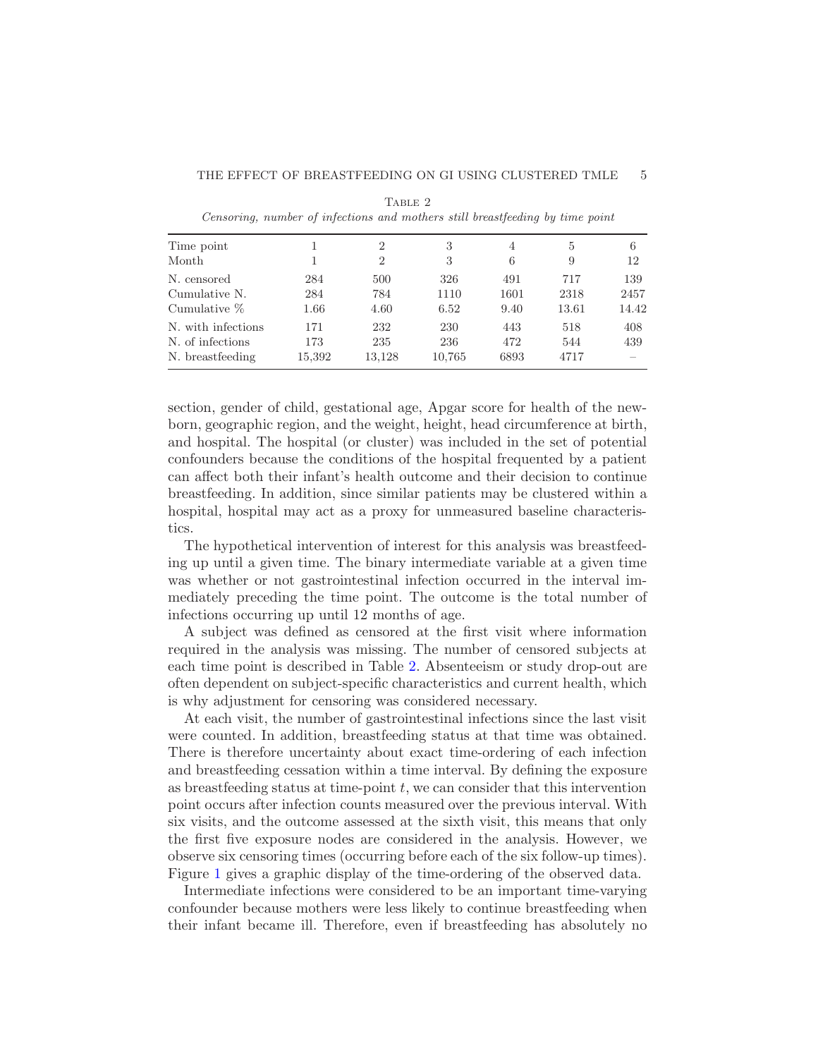## THE EFFECT OF BREASTFEEDING ON GI USING CLUSTERED TMLE 5

<span id="page-4-0"></span>

| Time point         |        | $\overline{2}$ | 3      | 4    | $\frac{5}{2}$ | 6     |
|--------------------|--------|----------------|--------|------|---------------|-------|
| Month              |        | $\overline{2}$ | 3      | 6    | 9             | 12    |
| N. censored        | 284    | 500            | 326    | 491  | 717           | 139   |
| Cumulative N.      | 284    | 784            | 1110   | 1601 | 2318          | 2457  |
| Cumulative $\%$    | 1.66   | 4.60           | 6.52   | 9.40 | 13.61         | 14.42 |
| N. with infections | 171    | 232            | 230    | 443  | 518           | 408   |
| N. of infections   | 173    | 235            | 236    | 472  | 544           | 439   |
| N. breastfeeding   | 15,392 | 13,128         | 10,765 | 6893 | 4717          |       |

TABLE 2 Censoring, number of infections and mothers still breastfeeding by time point

section, gender of child, gestational age, Apgar score for health of the newborn, geographic region, and the weight, height, head circumference at birth, and hospital. The hospital (or cluster) was included in the set of potential confounders because the conditions of the hospital frequented by a patient can affect both their infant's health outcome and their decision to continue breastfeeding. In addition, since similar patients may be clustered within a hospital, hospital may act as a proxy for unmeasured baseline characteristics.

The hypothetical intervention of interest for this analysis was breastfeeding up until a given time. The binary intermediate variable at a given time was whether or not gastrointestinal infection occurred in the interval immediately preceding the time point. The outcome is the total number of infections occurring up until 12 months of age.

A subject was defined as censored at the first visit where information required in the analysis was missing. The number of censored subjects at each time point is described in Table [2.](#page-4-0) Absenteeism or study drop-out are often dependent on subject-specific characteristics and current health, which is why adjustment for censoring was considered necessary.

At each visit, the number of gastrointestinal infections since the last visit were counted. In addition, breastfeeding status at that time was obtained. There is therefore uncertainty about exact time-ordering of each infection and breastfeeding cessation within a time interval. By defining the exposure as breastfeeding status at time-point  $t$ , we can consider that this intervention point occurs after infection counts measured over the previous interval. With six visits, and the outcome assessed at the sixth visit, this means that only the first five exposure nodes are considered in the analysis. However, we observe six censoring times (occurring before each of the six follow-up times). Figure [1](#page-5-1) gives a graphic display of the time-ordering of the observed data.

Intermediate infections were considered to be an important time-varying confounder because mothers were less likely to continue breastfeeding when their infant became ill. Therefore, even if breastfeeding has absolutely no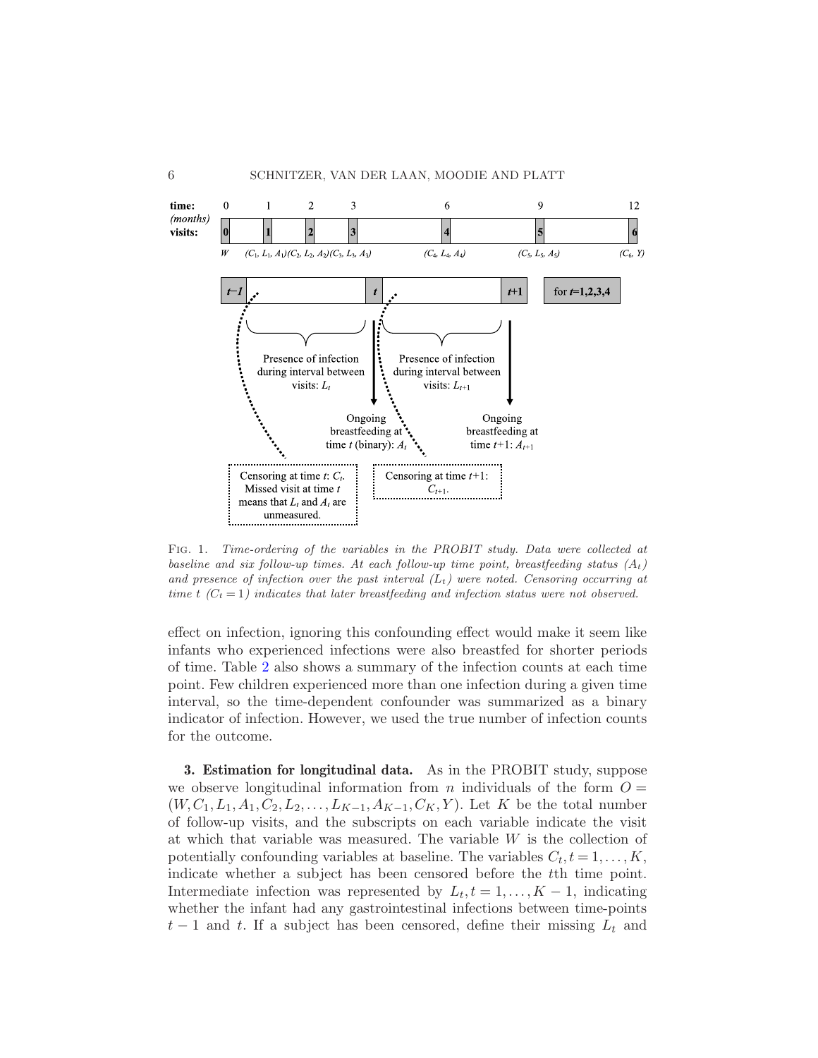

<span id="page-5-1"></span>Fig. 1. Time-ordering of the variables in the PROBIT study. Data were collected at baseline and six follow-up times. At each follow-up time point, breastfeeding status  $(A_t)$ and presence of infection over the past interval  $(L_t)$  were noted. Censoring occurring at time t  $(C_t = 1)$  indicates that later breastfeeding and infection status were not observed.

effect on infection, ignoring this confounding effect would make it seem like infants who experienced infections were also breastfed for shorter periods of time. Table [2](#page-4-0) also shows a summary of the infection counts at each time point. Few children experienced more than one infection during a given time interval, so the time-dependent confounder was summarized as a binary indicator of infection. However, we used the true number of infection counts for the outcome.

<span id="page-5-0"></span>3. Estimation for longitudinal data. As in the PROBIT study, suppose we observe longitudinal information from n individuals of the form  $O =$  $(W, C_1, L_1, A_1, C_2, L_2, \ldots, L_{K-1}, A_{K-1}, C_K, Y)$ . Let K be the total number of follow-up visits, and the subscripts on each variable indicate the visit at which that variable was measured. The variable  $W$  is the collection of potentially confounding variables at baseline. The variables  $C_t, t = 1, \ldots, K$ , indicate whether a subject has been censored before the tth time point. Intermediate infection was represented by  $L_t, t = 1, \ldots, K - 1$ , indicating whether the infant had any gastrointestinal infections between time-points  $t-1$  and t. If a subject has been censored, define their missing  $L_t$  and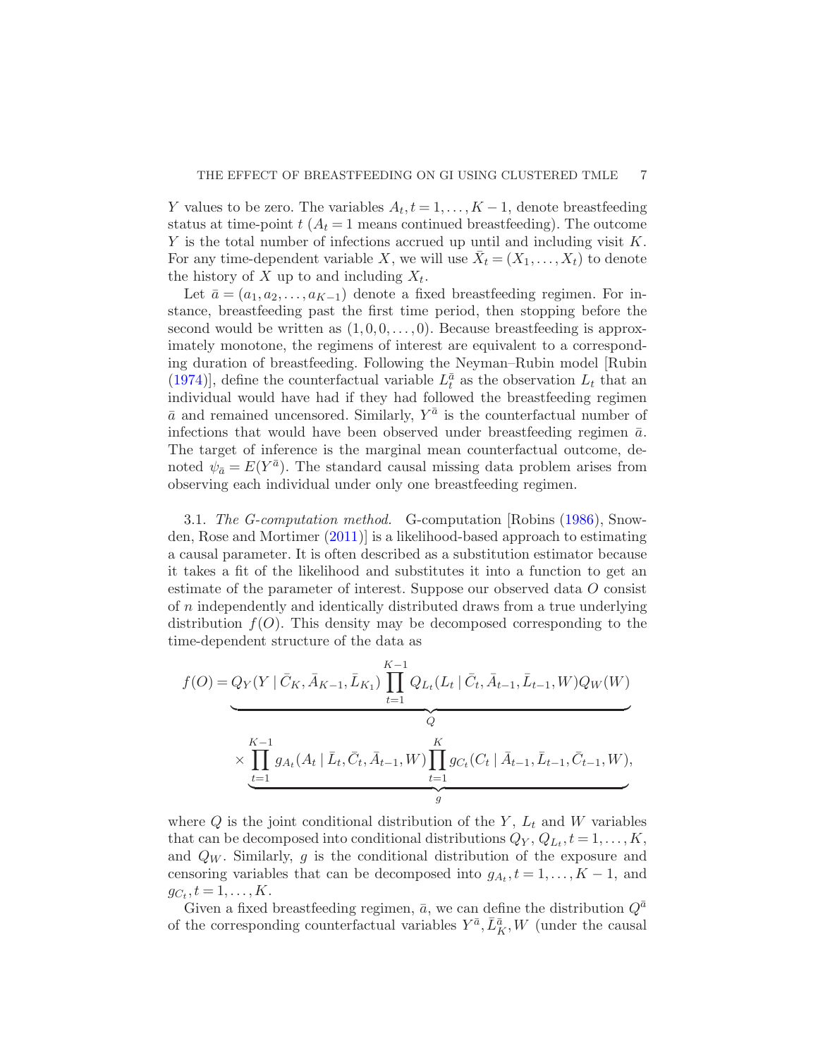Y values to be zero. The variables  $A_t, t = 1, \ldots, K - 1$ , denote breastfeeding status at time-point  $t(A_t = 1$  means continued breastfeeding). The outcome  $Y$  is the total number of infections accrued up until and including visit  $K$ . For any time-dependent variable X, we will use  $\bar{X}_t = (X_1, \ldots, X_t)$  to denote the history of X up to and including  $X_t$ .

Let  $\bar{a} = (a_1, a_2, \ldots, a_{K-1})$  denote a fixed breastfeeding regimen. For instance, breastfeeding past the first time period, then stopping before the second would be written as  $(1, 0, 0, \ldots, 0)$ . Because breastfeeding is approximately monotone, the regimens of interest are equivalent to a corresponding duration of breastfeeding. Following the Neyman–Rubin model [Rubin [\(1974\)](#page-22-7)], define the counterfactual variable  $L_t^{\bar{a}}$  as the observation  $L_t$  that an individual would have had if they had followed the breastfeeding regimen  $\bar{a}$  and remained uncensored. Similarly,  $Y^{\bar{a}}$  is the counterfactual number of infections that would have been observed under breastfeeding regimen  $\bar{a}$ . The target of inference is the marginal mean counterfactual outcome, denoted  $\psi_{\bar{a}} = E(Y^{\bar{a}})$ . The standard causal missing data problem arises from observing each individual under only one breastfeeding regimen.

<span id="page-6-0"></span>3.1. The G-computation method. G-computation [Robins [\(1986\)](#page-22-0), Snowden, Rose and Mortimer [\(2011](#page-22-8))] is a likelihood-based approach to estimating a causal parameter. It is often described as a substitution estimator because it takes a fit of the likelihood and substitutes it into a function to get an estimate of the parameter of interest. Suppose our observed data O consist of n independently and identically distributed draws from a true underlying distribution  $f(0)$ . This density may be decomposed corresponding to the time-dependent structure of the data as

$$
f(O) = Q_Y(Y | \bar{C}_K, \bar{A}_{K-1}, \bar{L}_{K_1}) \prod_{t=1}^{K-1} Q_{L_t}(L_t | \bar{C}_t, \bar{A}_{t-1}, \bar{L}_{t-1}, W) Q_W(W)
$$
  

$$
\times \prod_{t=1}^{K-1} g_{A_t}(A_t | \bar{L}_t, \bar{C}_t, \bar{A}_{t-1}, W) \prod_{t=1}^{K} g_{C_t}(C_t | \bar{A}_{t-1}, \bar{L}_{t-1}, \bar{C}_{t-1}, W),
$$

where  $Q$  is the joint conditional distribution of the Y,  $L_t$  and W variables that can be decomposed into conditional distributions  $Q_Y, Q_{L_t}, t = 1, \ldots, K$ , and  $Q_W$ . Similarly, g is the conditional distribution of the exposure and censoring variables that can be decomposed into  $g_{A_t}, t = 1, \ldots, K - 1$ , and  $g_{C_t}, t = 1, \ldots, K.$ 

Given a fixed breastfeeding regimen,  $\bar{a}$ , we can define the distribution  $Q^{\bar{a}}$ of the corresponding counterfactual variables  $Y^{\bar{a}}, \bar{L}_K^{\bar{a}}, W$  (under the causal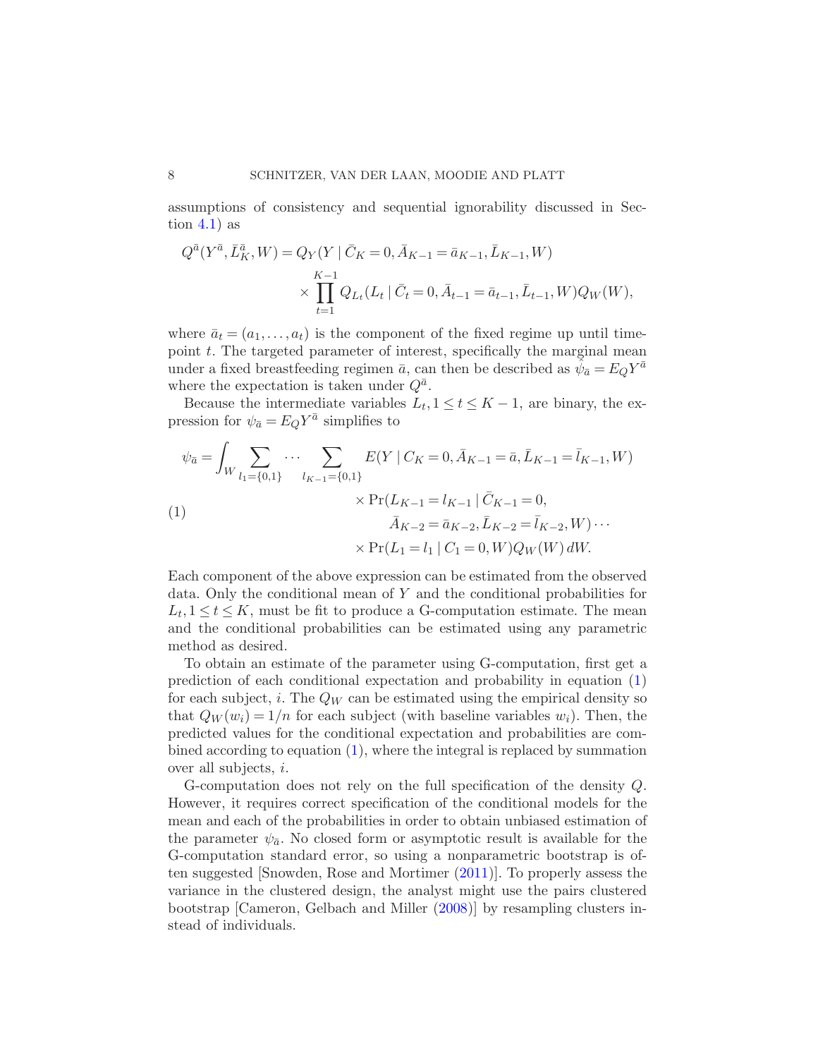assumptions of consistency and sequential ignorability discussed in Section  $4.1$ ) as

$$
Q^{\bar{a}}(Y^{\bar{a}}, \bar{L}_K^{\bar{a}}, W) = Q_Y(Y | \bar{C}_K = 0, \bar{A}_{K-1} = \bar{a}_{K-1}, \bar{L}_{K-1}, W)
$$
  
 
$$
\times \prod_{t=1}^{K-1} Q_{L_t}(L_t | \bar{C}_t = 0, \bar{A}_{t-1} = \bar{a}_{t-1}, \bar{L}_{t-1}, W) Q_W(W),
$$

where  $\bar{a}_t = (a_1, \ldots, a_t)$  is the component of the fixed regime up until timepoint  $t$ . The targeted parameter of interest, specifically the marginal mean under a fixed breastfeeding regimen  $\bar{a}$ , can then be described as  $\tilde{\psi}_{\bar{a}} = E_Q Y^{\bar{a}}$ where the expectation is taken under  $Q^{\bar{a}}$ .

Because the intermediate variables  $L_t, 1 \le t \le K - 1$ , are binary, the expression for  $\psi_{\bar{a}} = E_Q Y^{\bar{a}}$  simplifies to

<span id="page-7-0"></span>
$$
\psi_{\bar{a}} = \int_{W} \sum_{l_1 = \{0,1\}} \cdots \sum_{l_{K-1} = \{0,1\}} E(Y \mid C_K = 0, \bar{A}_{K-1} = \bar{a}, \bar{L}_{K-1} = \bar{l}_{K-1}, W)
$$
  
\n
$$
\times \Pr(L_{K-1} = l_{K-1} \mid \bar{C}_{K-1} = 0,
$$
  
\n
$$
\bar{A}_{K-2} = \bar{a}_{K-2}, \bar{L}_{K-2} = \bar{l}_{K-2}, W) \cdots
$$
  
\n
$$
\times \Pr(L_1 = l_1 \mid C_1 = 0, W) Q_W(W) dW.
$$

Each component of the above expression can be estimated from the observed data. Only the conditional mean of Y and the conditional probabilities for  $L_t, 1 \le t \le K$ , must be fit to produce a G-computation estimate. The mean and the conditional probabilities can be estimated using any parametric method as desired.

To obtain an estimate of the parameter using G-computation, first get a prediction of each conditional expectation and probability in equation [\(1\)](#page-7-0) for each subject, i. The  $Q_W$  can be estimated using the empirical density so that  $Q_W(w_i) = 1/n$  for each subject (with baseline variables  $w_i$ ). Then, the predicted values for the conditional expectation and probabilities are combined according to equation  $(1)$ , where the integral is replaced by summation over all subjects, i.

G-computation does not rely on the full specification of the density Q. However, it requires correct specification of the conditional models for the mean and each of the probabilities in order to obtain unbiased estimation of the parameter  $\psi_{\bar{a}}$ . No closed form or asymptotic result is available for the G-computation standard error, so using a nonparametric bootstrap is often suggested [Snowden, Rose and Mortimer [\(2011\)](#page-22-8)]. To properly assess the variance in the clustered design, the analyst might use the pairs clustered bootstrap [Cameron, Gelbach and Miller [\(2008](#page-21-6))] by resampling clusters instead of individuals.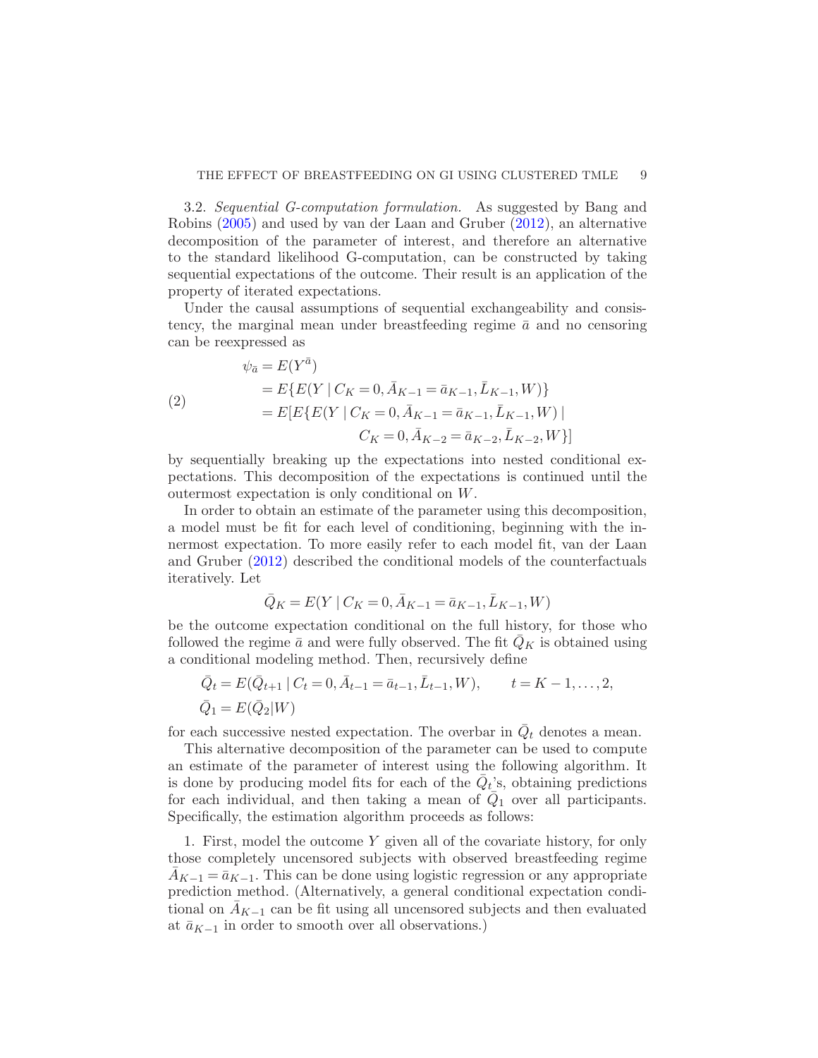<span id="page-8-0"></span>3.2. Sequential G-computation formulation. As suggested by Bang and Robins [\(2005](#page-21-3)) and used by van der Laan and Gruber [\(2012\)](#page-23-3), an alternative decomposition of the parameter of interest, and therefore an alternative to the standard likelihood G-computation, can be constructed by taking sequential expectations of the outcome. Their result is an application of the property of iterated expectations.

Under the causal assumptions of sequential exchangeability and consistency, the marginal mean under breastfeeding regime  $\bar{a}$  and no censoring can be reexpressed as

(2)  
\n
$$
\psi_{\bar{a}} = E(Y^{\bar{a}})
$$
\n
$$
= E\{E(Y \mid C_K = 0, \bar{A}_{K-1} = \bar{a}_{K-1}, \bar{L}_{K-1}, W)\}
$$
\n
$$
= E[E\{E(Y \mid C_K = 0, \bar{A}_{K-1} = \bar{a}_{K-1}, \bar{L}_{K-1}, W) \mid C_K = 0, \bar{A}_{K-2} = \bar{a}_{K-2}, \bar{L}_{K-2}, W\}]
$$

by sequentially breaking up the expectations into nested conditional expectations. This decomposition of the expectations is continued until the outermost expectation is only conditional on W.

In order to obtain an estimate of the parameter using this decomposition, a model must be fit for each level of conditioning, beginning with the innermost expectation. To more easily refer to each model fit, van der Laan and Gruber [\(2012](#page-23-3)) described the conditional models of the counterfactuals iteratively. Let

$$
\bar{Q}_K = E(Y \mid C_K = 0, \bar{A}_{K-1} = \bar{a}_{K-1}, \bar{L}_{K-1}, W)
$$

be the outcome expectation conditional on the full history, for those who followed the regime  $\bar{a}$  and were fully observed. The fit  $Q_K$  is obtained using a conditional modeling method. Then, recursively define

$$
\bar{Q}_t = E(\bar{Q}_{t+1} | C_t = 0, \bar{A}_{t-1} = \bar{a}_{t-1}, \bar{L}_{t-1}, W), \qquad t = K - 1, \dots, 2,
$$
  

$$
\bar{Q}_1 = E(\bar{Q}_2 | W)
$$

for each successive nested expectation. The overbar in  $\overline{Q}_t$  denotes a mean.

This alternative decomposition of the parameter can be used to compute an estimate of the parameter of interest using the following algorithm. It is done by producing model fits for each of the  $\overline{Q}_t$ 's, obtaining predictions for each individual, and then taking a mean of  $\overline{Q}_1$  over all participants. Specifically, the estimation algorithm proceeds as follows:

1. First, model the outcome Y given all of the covariate history, for only those completely uncensored subjects with observed breastfeeding regime  $\bar{A}_{K-1} = \bar{a}_{K-1}$ . This can be done using logistic regression or any appropriate prediction method. (Alternatively, a general conditional expectation conditional on  $A_{K-1}$  can be fit using all uncensored subjects and then evaluated at  $\bar{a}_{K-1}$  in order to smooth over all observations.)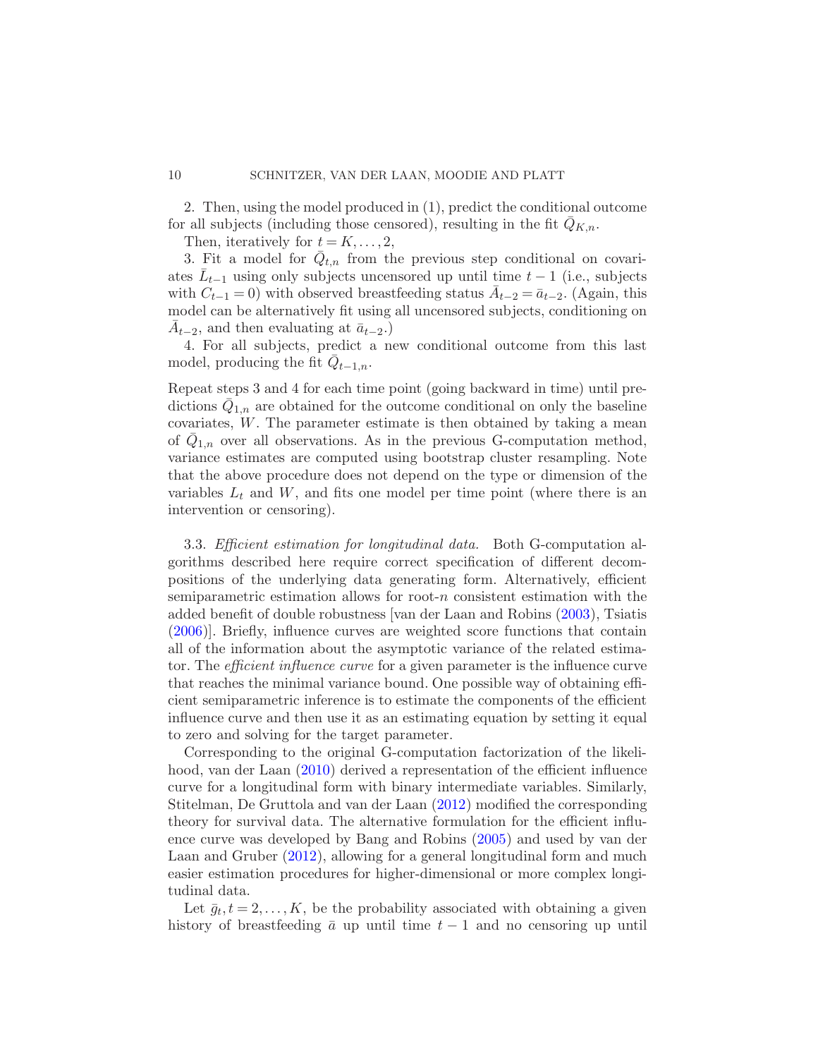2. Then, using the model produced in (1), predict the conditional outcome for all subjects (including those censored), resulting in the fit  $Q_{K,n}$ .

Then, iteratively for  $t = K, \ldots, 2$ ,

3. Fit a model for  $\overline{Q}_{t,n}$  from the previous step conditional on covariates  $\bar{L}_{t-1}$  using only subjects uncensored up until time  $t-1$  (i.e., subjects with  $C_{t-1} = 0$ ) with observed breastfeeding status  $\bar{A}_{t-2} = \bar{a}_{t-2}$ . (Again, this model can be alternatively fit using all uncensored subjects, conditioning on  $\bar{A}_{t-2}$ , and then evaluating at  $\bar{a}_{t-2}$ .

4. For all subjects, predict a new conditional outcome from this last model, producing the fit  $\overline{Q}_{t-1,n}$ .

Repeat steps 3 and 4 for each time point (going backward in time) until predictions  $\overline{Q}_{1,n}$  are obtained for the outcome conditional on only the baseline covariates, W. The parameter estimate is then obtained by taking a mean of  $\overline{Q}_{1,n}$  over all observations. As in the previous G-computation method, variance estimates are computed using bootstrap cluster resampling. Note that the above procedure does not depend on the type or dimension of the variables  $L_t$  and W, and fits one model per time point (where there is an intervention or censoring).

3.3. Efficient estimation for longitudinal data. Both G-computation algorithms described here require correct specification of different decompositions of the underlying data generating form. Alternatively, efficient semiparametric estimation allows for root- $n$  consistent estimation with the added benefit of double robustness [van der Laan and Robins [\(2003\)](#page-23-0), Tsiatis [\(2006\)](#page-22-9)]. Briefly, influence curves are weighted score functions that contain all of the information about the asymptotic variance of the related estimator. The efficient influence curve for a given parameter is the influence curve that reaches the minimal variance bound. One possible way of obtaining efficient semiparametric inference is to estimate the components of the efficient influence curve and then use it as an estimating equation by setting it equal to zero and solving for the target parameter.

Corresponding to the original G-computation factorization of the likelihood, van der Laan  $(2010)$  derived a representation of the efficient influence curve for a longitudinal form with binary intermediate variables. Similarly, Stitelman, De Gruttola and van der Laan [\(2012\)](#page-22-6) modified the corresponding theory for survival data. The alternative formulation for the efficient influence curve was developed by Bang and Robins [\(2005](#page-21-3)) and used by van der Laan and Gruber [\(2012](#page-23-3)), allowing for a general longitudinal form and much easier estimation procedures for higher-dimensional or more complex longitudinal data.

Let  $\bar{g}_t, t = 2, \ldots, K$ , be the probability associated with obtaining a given history of breastfeeding  $\bar{a}$  up until time  $t - 1$  and no censoring up until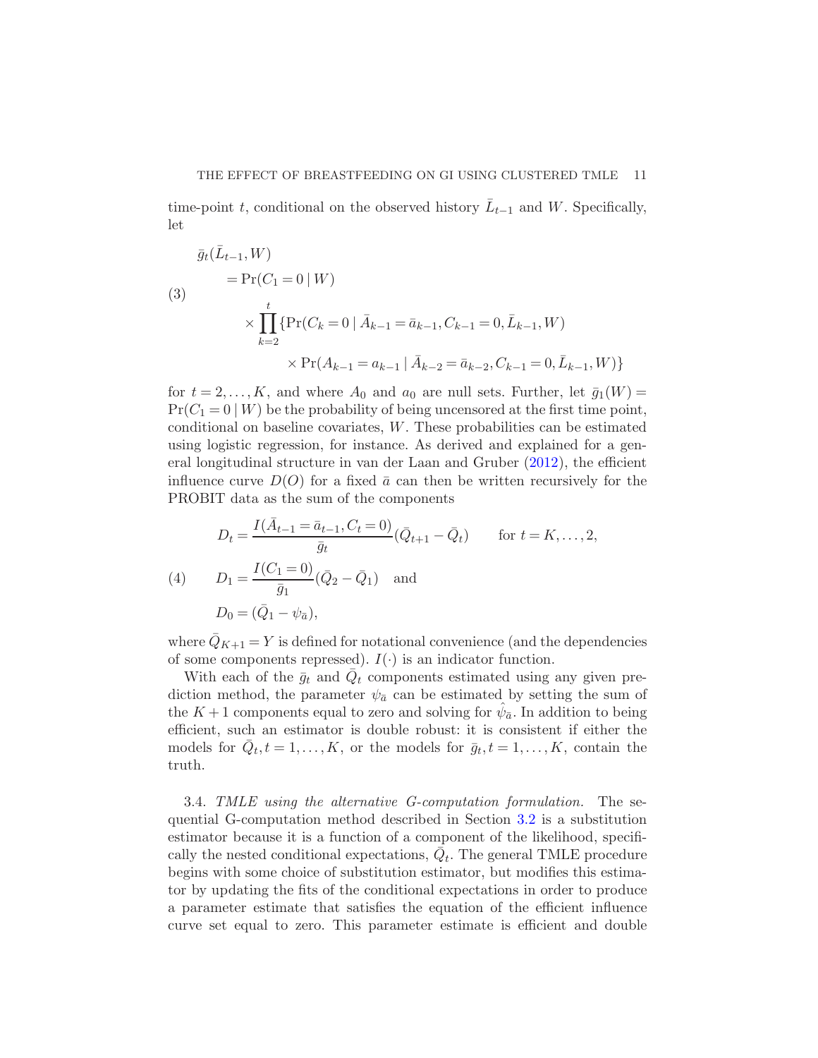time-point t, conditional on the observed history  $\bar{L}_{t-1}$  and W. Specifically, let

<span id="page-10-0"></span>
$$
\bar{g}_t(\bar{L}_{t-1}, W)
$$
\n
$$
= \Pr(C_1 = 0 | W)
$$
\n(3)\n
$$
\times \prod_{k=2}^t \{ \Pr(C_k = 0 | \bar{A}_{k-1} = \bar{a}_{k-1}, C_{k-1} = 0, \bar{L}_{k-1}, W) \times \Pr(A_{k-1} = a_{k-1} | \bar{A}_{k-2} = \bar{a}_{k-2}, C_{k-1} = 0, \bar{L}_{k-1}, W) \}
$$

for  $t = 2, ..., K$ , and where  $A_0$  and  $a_0$  are null sets. Further, let  $\bar{g}_1(W)$  =  $Pr(C_1 = 0 | W)$  be the probability of being uncensored at the first time point, conditional on baseline covariates, W. These probabilities can be estimated using logistic regression, for instance. As derived and explained for a general longitudinal structure in van der Laan and Gruber [\(2012](#page-23-3)), the efficient influence curve  $D(O)$  for a fixed  $\bar{a}$  can then be written recursively for the PROBIT data as the sum of the components

$$
D_t = \frac{I(\bar{A}_{t-1} = \bar{a}_{t-1}, C_t = 0)}{\bar{g}_t} (\bar{Q}_{t+1} - \bar{Q}_t) \quad \text{for } t = K, ..., 2,
$$
  
(4) 
$$
D_1 = \frac{I(C_1 = 0)}{\bar{g}_1} (\bar{Q}_2 - \bar{Q}_1) \quad \text{and}
$$

$$
D_0 = (\bar{Q}_1 - \psi_{\bar{a}}),
$$

where  $Q_{K+1} = Y$  is defined for notational convenience (and the dependencies of some components repressed).  $I(\cdot)$  is an indicator function.

With each of the  $\bar{g}_t$  and  $\bar{Q}_t$  components estimated using any given prediction method, the parameter  $\psi_{\bar{a}}$  can be estimated by setting the sum of the  $K+1$  components equal to zero and solving for  $\hat{\psi}_{\bar{a}}$ . In addition to being efficient, such an estimator is double robust: it is consistent if either the models for  $\overline{Q}_t, t = 1, \ldots, K$ , or the models for  $\overline{g}_t, t = 1, \ldots, K$ , contain the truth.

3.4. TMLE using the alternative G-computation formulation. The sequential G-computation method described in Section [3.2](#page-8-0) is a substitution estimator because it is a function of a component of the likelihood, specifically the nested conditional expectations,  $\overline{Q}_t$ . The general TMLE procedure begins with some choice of substitution estimator, but modifies this estimator by updating the fits of the conditional expectations in order to produce a parameter estimate that satisfies the equation of the efficient influence curve set equal to zero. This parameter estimate is efficient and double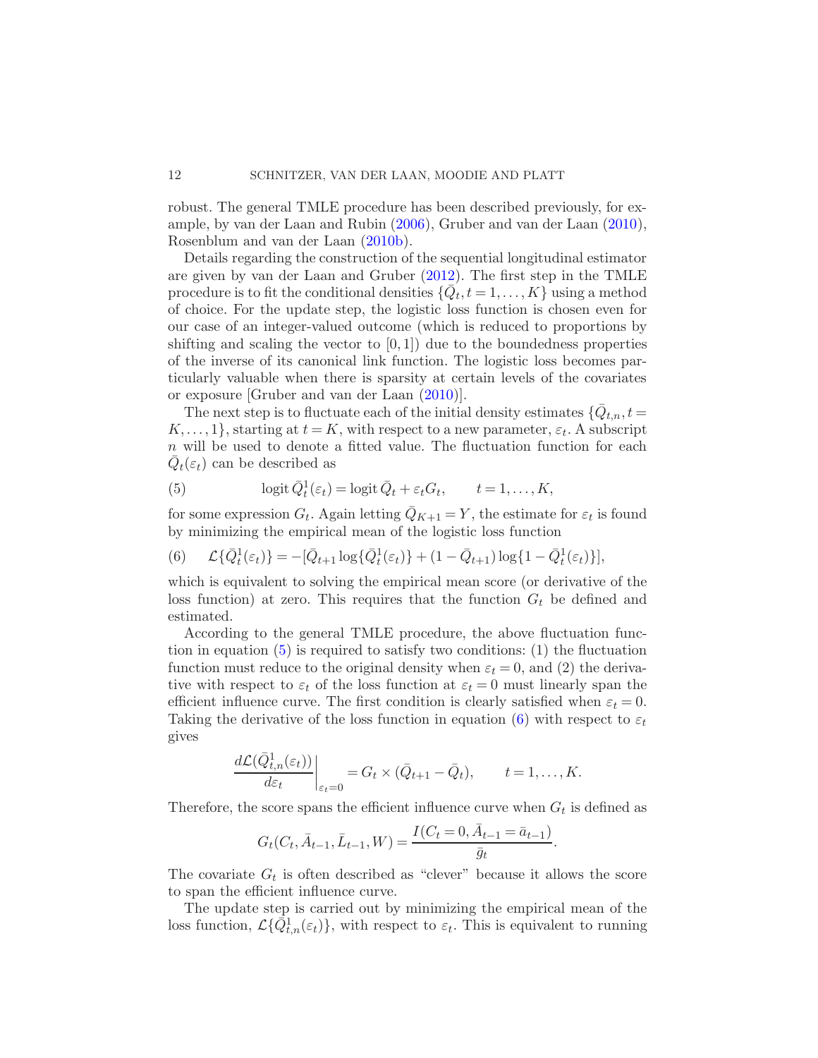robust. The general TMLE procedure has been described previously, for example, by van der Laan and Rubin [\(2006](#page-23-1)), Gruber and van der Laan [\(2010](#page-21-4)), Rosenblum and van der Laan [\(2010b\)](#page-22-10).

Details regarding the construction of the sequential longitudinal estimator are given by van der Laan and Gruber [\(2012\)](#page-23-3). The first step in the TMLE procedure is to fit the conditional densities  $\{\overline{Q}_t, t = 1, \ldots, K\}$  using a method of choice. For the update step, the logistic loss function is chosen even for our case of an integer-valued outcome (which is reduced to proportions by shifting and scaling the vector to  $[0, 1]$  due to the boundedness properties of the inverse of its canonical link function. The logistic loss becomes particularly valuable when there is sparsity at certain levels of the covariates or exposure [Gruber and van der Laan [\(2010](#page-21-4))].

The next step is to fluctuate each of the initial density estimates  $\{\bar{Q}_{t,n}, t =$  $K, \ldots, 1$ , starting at  $t = K$ , with respect to a new parameter,  $\varepsilon_t$ . A subscript  $n$  will be used to denote a fitted value. The fluctuation function for each  $\bar{Q}_t(\varepsilon_t)$  can be described as

<span id="page-11-0"></span>(5) 
$$
\text{logit}\,\bar{Q}_t^1(\varepsilon_t) = \text{logit}\,\bar{Q}_t + \varepsilon_t G_t, \qquad t = 1,\ldots,K,
$$

for some expression  $G_t$ . Again letting  $\overline{Q}_{K+1} = Y$ , the estimate for  $\varepsilon_t$  is found by minimizing the empirical mean of the logistic loss function

<span id="page-11-1"></span>(6) 
$$
\mathcal{L}\{\bar{Q}_t^1(\varepsilon_t)\} = -[\bar{Q}_{t+1}\log{\{\bar{Q}_t^1(\varepsilon_t)\} + (1 - \bar{Q}_{t+1})\log{\{1 - \bar{Q}_t^1(\varepsilon_t)\}}}],
$$

which is equivalent to solving the empirical mean score (or derivative of the loss function) at zero. This requires that the function  $G_t$  be defined and estimated.

According to the general TMLE procedure, the above fluctuation function in equation [\(5\)](#page-11-0) is required to satisfy two conditions: (1) the fluctuation function must reduce to the original density when  $\varepsilon_t = 0$ , and (2) the derivative with respect to  $\varepsilon_t$  of the loss function at  $\varepsilon_t = 0$  must linearly span the efficient influence curve. The first condition is clearly satisfied when  $\varepsilon_t = 0$ . Taking the derivative of the loss function in equation [\(6\)](#page-11-1) with respect to  $\varepsilon_t$ gives

$$
\frac{d\mathcal{L}(\bar{Q}_{t,n}^1(\varepsilon_t))}{d\varepsilon_t}\bigg|_{\varepsilon_t=0} = G_t \times (\bar{Q}_{t+1} - \bar{Q}_t), \qquad t = 1,\ldots,K.
$$

Therefore, the score spans the efficient influence curve when  $G_t$  is defined as

$$
G_t(C_t, \bar{A}_{t-1}, \bar{L}_{t-1}, W) = \frac{I(C_t = 0, \bar{A}_{t-1} = \bar{a}_{t-1})}{\bar{g}_t}.
$$

The covariate  $G_t$  is often described as "clever" because it allows the score to span the efficient influence curve.

The update step is carried out by minimizing the empirical mean of the loss function,  $\mathcal{L}\{\bar{Q}_{t,n}^1(\varepsilon_t)\}\,$  with respect to  $\varepsilon_t$ . This is equivalent to running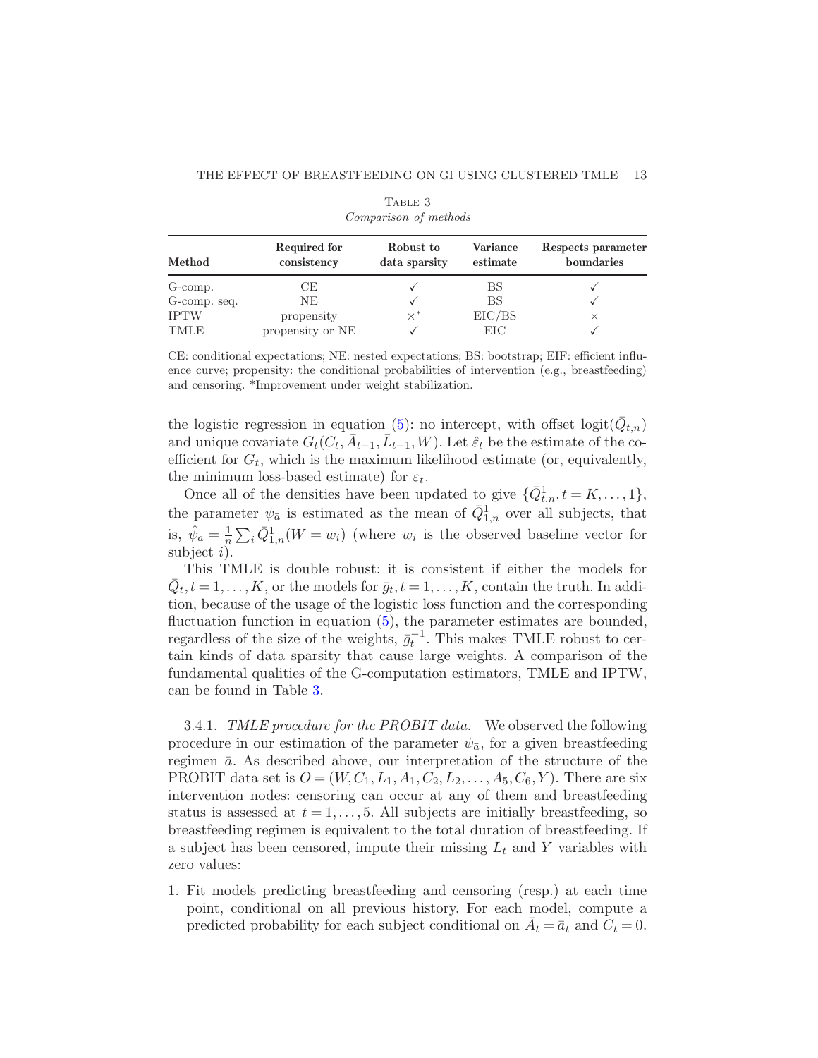<span id="page-12-0"></span>

| Method       | Required for<br>consistency | Robust to<br>data sparsity | Variance<br>estimate | Respects parameter<br>boundaries |
|--------------|-----------------------------|----------------------------|----------------------|----------------------------------|
| G-comp.      | CE                          |                            | BS                   |                                  |
| G-comp. seq. | NE.                         |                            | BS                   |                                  |
| <b>IPTW</b>  | propensity                  | $\times^*$                 | EIC/BS               | X                                |
| <b>TMLE</b>  | propensity or NE            |                            | EIC                  |                                  |

Table 3 Comparison of methods

CE: conditional expectations; NE: nested expectations; BS: bootstrap; EIF: efficient influence curve; propensity: the conditional probabilities of intervention (e.g., breastfeeding) and censoring. \*Improvement under weight stabilization.

the logistic regression in equation [\(5\)](#page-11-0): no intercept, with offset  $logit(\bar{Q}_{t,n})$ and unique covariate  $G_t(C_t, \bar{A}_{t-1}, \bar{L}_{t-1}, W)$ . Let  $\hat{\varepsilon}_t$  be the estimate of the coefficient for  $G_t$ , which is the maximum likelihood estimate (or, equivalently, the minimum loss-based estimate) for  $\varepsilon_t$ .

Once all of the densities have been updated to give  $\{\overline{Q}_{t,n}^1, t = K, \ldots, 1\},\$ the parameter  $\psi_{\bar{a}}$  is estimated as the mean of  $\bar{Q}_{1,n}^1$  over all subjects, that is,  $\hat{\psi}_{\bar{a}} = \frac{1}{n} \sum_i \bar{Q}_{1,n}^1(W = w_i)$  (where  $w_i$  is the observed baseline vector for subject  $i$ ).

This TMLE is double robust: it is consistent if either the models for  $\overline{Q}_t, t = 1, \ldots, K$ , or the models for  $\overline{g}_t, t = 1, \ldots, K$ , contain the truth. In addition, because of the usage of the logistic loss function and the corresponding fluctuation function in equation  $(5)$ , the parameter estimates are bounded, regardless of the size of the weights,  $\bar{g}_t^{-1}$ . This makes TMLE robust to certain kinds of data sparsity that cause large weights. A comparison of the fundamental qualities of the G-computation estimators, TMLE and IPTW, can be found in Table [3.](#page-12-0)

<span id="page-12-1"></span>3.4.1. TMLE procedure for the PROBIT data. We observed the following procedure in our estimation of the parameter  $\psi_{\bar{a}}$ , for a given breastfeeding regimen  $\bar{a}$ . As described above, our interpretation of the structure of the PROBIT data set is  $O = (W, C_1, L_1, A_1, C_2, L_2, \ldots, A_5, C_6, Y)$ . There are six intervention nodes: censoring can occur at any of them and breastfeeding status is assessed at  $t = 1, \ldots, 5$ . All subjects are initially breastfeeding, so breastfeeding regimen is equivalent to the total duration of breastfeeding. If a subject has been censored, impute their missing  $L_t$  and Y variables with zero values:

1. Fit models predicting breastfeeding and censoring (resp.) at each time point, conditional on all previous history. For each model, compute a predicted probability for each subject conditional on  $\bar{A}_t = \bar{a}_t$  and  $\bar{C}_t = 0$ .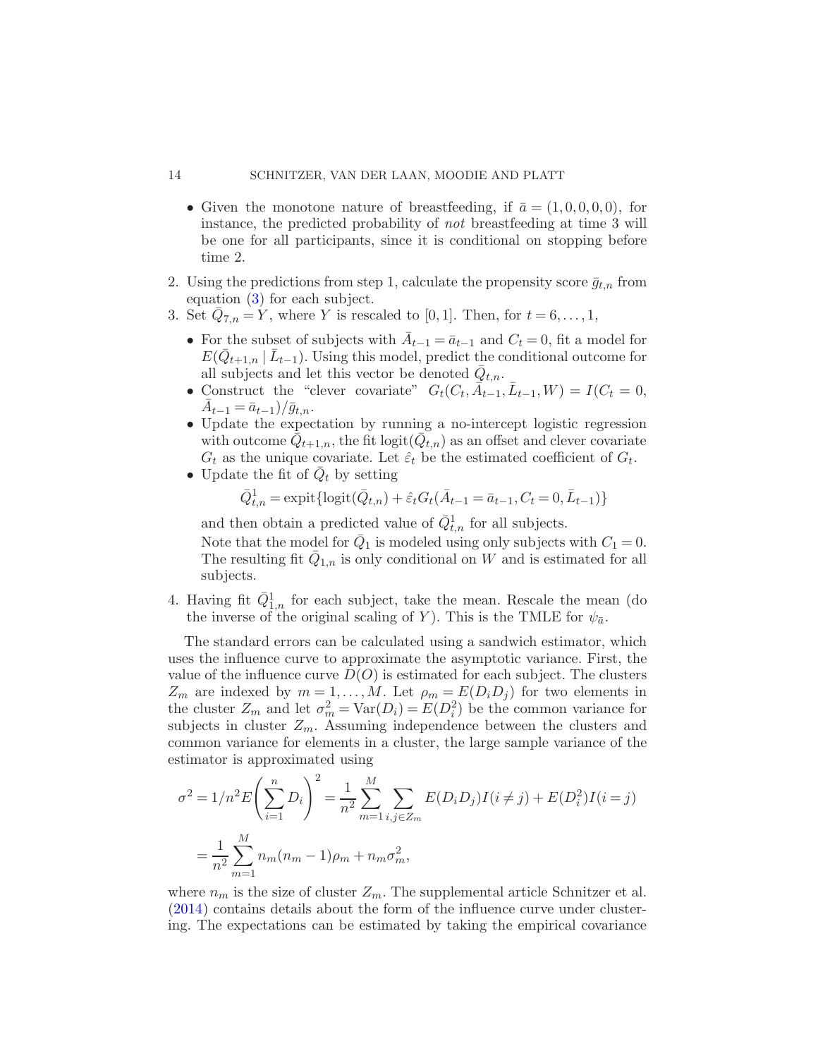# 14 SCHNITZER, VAN DER LAAN, MOODIE AND PLATT

- Given the monotone nature of breastfeeding, if  $\bar{a} = (1, 0, 0, 0, 0)$ , for instance, the predicted probability of not breastfeeding at time 3 will be one for all participants, since it is conditional on stopping before time 2.
- 2. Using the predictions from step 1, calculate the propensity score  $\bar{g}_{t,n}$  from equation [\(3\)](#page-10-0) for each subject.
- 3. Set  $\overline{Q}_{7,n} = Y$ , where Y is rescaled to [0,1]. Then, for  $t = 6, \ldots, 1$ ,
	- For the subset of subjects with  $\bar{A}_{t-1} = \bar{a}_{t-1}$  and  $C_t = 0$ , fit a model for  $E(\bar{Q}_{t+1,n} | \bar{L}_{t-1})$ . Using this model, predict the conditional outcome for all subjects and let this vector be denoted  $\overline{Q}_{t,n}$ .
	- Construct the "clever covariate"  $G_t(C_t, \overline{A}_{t-1}, \overline{L}_{t-1}, W) = I(C_t = 0,$  $\bar{A}_{t-1} = \bar{a}_{t-1})/\bar{g}_{t,n}.$
	- Update the expectation by running a no-intercept logistic regression with outcome  $\bar{Q}_{t+1,n}$ , the fit logit $(\bar{Q}_{t,n})$  as an offset and clever covariate  $G_t$  as the unique covariate. Let  $\hat{\varepsilon}_t$  be the estimated coefficient of  $G_t$ .
	- Update the fit of  $\overline{Q}_t$  by setting

$$
\bar{Q}_{t,n}^1 = \text{expit} \{ \text{logit}(\bar{Q}_{t,n}) + \hat{\varepsilon}_t G_t (\bar{A}_{t-1} = \bar{a}_{t-1}, C_t = 0, \bar{L}_{t-1}) \}
$$

and then obtain a predicted value of  $\overline{Q}_{t,n}^1$  for all subjects.

Note that the model for  $\overline{Q}_1$  is modeled using only subjects with  $C_1 = 0$ . The resulting fit  $\overline{Q}_{1,n}$  is only conditional on W and is estimated for all subjects.

4. Having fit  $\overline{Q}_{1,n}^1$  for each subject, take the mean. Rescale the mean (do the inverse of the original scaling of Y). This is the TMLE for  $\psi_{\bar{a}}$ .

The standard errors can be calculated using a sandwich estimator, which uses the influence curve to approximate the asymptotic variance. First, the value of the influence curve  $D(O)$  is estimated for each subject. The clusters  $Z_m$  are indexed by  $m = 1, ..., M$ . Let  $\rho_m = E(D_i D_j)$  for two elements in the cluster  $Z_m$  and let  $\sigma_m^2 = \text{Var}(D_i) = E(D_i^2)$  be the common variance for subjects in cluster  $Z_m$ . Assuming independence between the clusters and common variance for elements in a cluster, the large sample variance of the estimator is approximated using

$$
\sigma^2 = 1/n^2 E\left(\sum_{i=1}^n D_i\right)^2 = \frac{1}{n^2} \sum_{m=1}^M \sum_{i,j \in Z_m} E(D_i D_j) I(i \neq j) + E(D_i^2) I(i = j)
$$
  
= 
$$
\frac{1}{n^2} \sum_{m=1}^M n_m (n_m - 1) \rho_m + n_m \sigma_m^2,
$$

where  $n_m$  is the size of cluster  $Z_m$ . The supplemental article Schnitzer et al. [\(2014\)](#page-22-11) contains details about the form of the influence curve under clustering. The expectations can be estimated by taking the empirical covariance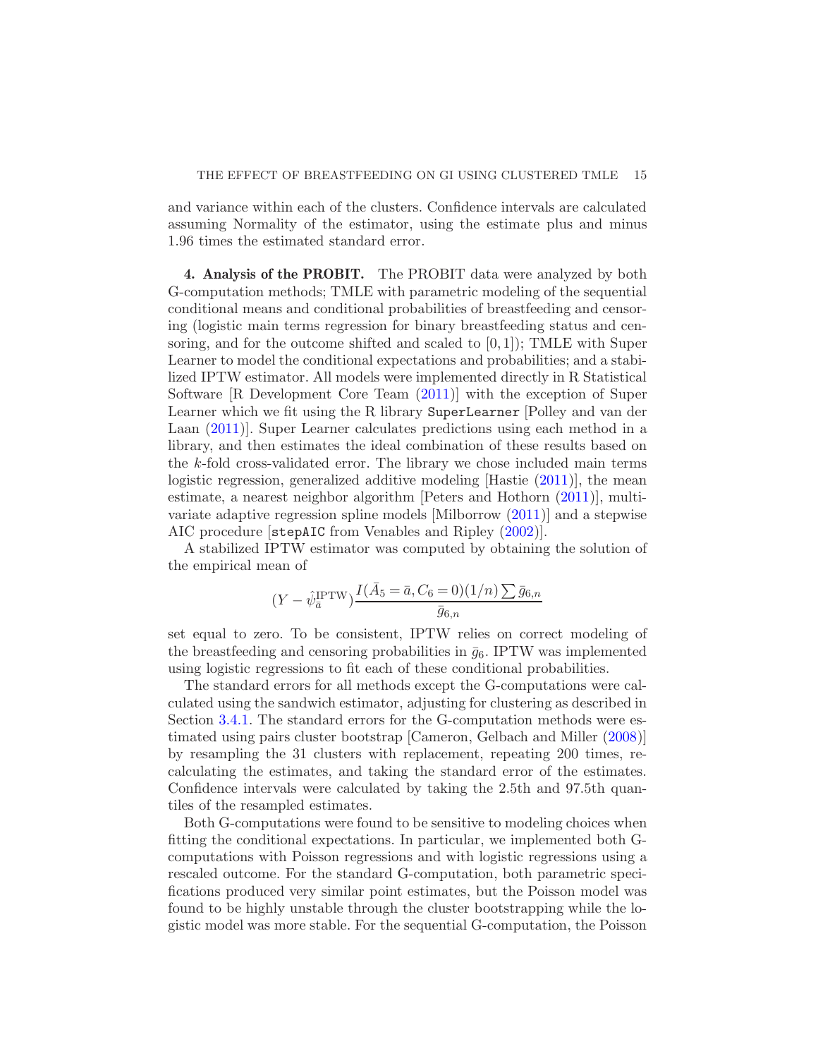and variance within each of the clusters. Confidence intervals are calculated assuming Normality of the estimator, using the estimate plus and minus 1.96 times the estimated standard error.

<span id="page-14-0"></span>4. Analysis of the PROBIT. The PROBIT data were analyzed by both G-computation methods; TMLE with parametric modeling of the sequential conditional means and conditional probabilities of breastfeeding and censoring (logistic main terms regression for binary breastfeeding status and censoring, and for the outcome shifted and scaled to  $[0, 1]$ ; TMLE with Super Learner to model the conditional expectations and probabilities; and a stabilized IPTW estimator. All models were implemented directly in R Statistical Software [R Development Core Team [\(2011\)](#page-22-12)] with the exception of Super Learner which we fit using the R library SuperLearner [Polley and van der Laan [\(2011](#page-22-13))]. Super Learner calculates predictions using each method in a library, and then estimates the ideal combination of these results based on the k-fold cross-validated error. The library we chose included main terms logistic regression, generalized additive modeling [Hastie [\(2011\)](#page-21-7)], the mean estimate, a nearest neighbor algorithm [Peters and Hothorn [\(2011](#page-22-14))], multivariate adaptive regression spline models [Milborrow [\(2011\)](#page-22-15)] and a stepwise AIC procedure [stepAIC from Venables and Ripley [\(2002\)](#page-23-4)].

A stabilized IPTW estimator was computed by obtaining the solution of the empirical mean of

$$
(Y - \hat{\psi}_a^{\text{IPTW}}) \frac{I(\bar{A}_5 = \bar{a}, C_6 = 0)(1/n) \sum \bar{g}_{6,n}}{\bar{g}_{6,n}}
$$

set equal to zero. To be consistent, IPTW relies on correct modeling of the breastfeeding and censoring probabilities in  $\bar{g}_6$ . IPTW was implemented using logistic regressions to fit each of these conditional probabilities.

The standard errors for all methods except the G-computations were calculated using the sandwich estimator, adjusting for clustering as described in Section [3.4.1.](#page-12-1) The standard errors for the G-computation methods were estimated using pairs cluster bootstrap [Cameron, Gelbach and Miller [\(2008](#page-21-6))] by resampling the 31 clusters with replacement, repeating 200 times, recalculating the estimates, and taking the standard error of the estimates. Confidence intervals were calculated by taking the 2.5th and 97.5th quantiles of the resampled estimates.

Both G-computations were found to be sensitive to modeling choices when fitting the conditional expectations. In particular, we implemented both Gcomputations with Poisson regressions and with logistic regressions using a rescaled outcome. For the standard G-computation, both parametric specifications produced very similar point estimates, but the Poisson model was found to be highly unstable through the cluster bootstrapping while the logistic model was more stable. For the sequential G-computation, the Poisson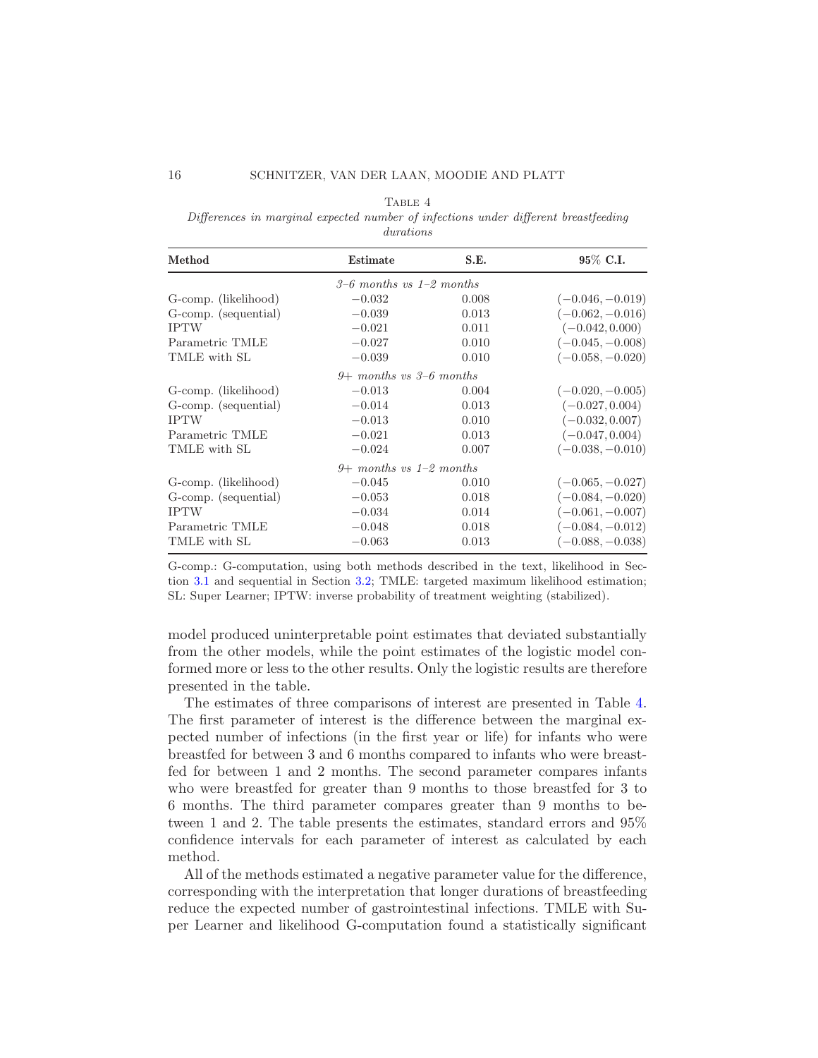<span id="page-15-0"></span>

|                                                                                     |  | TABLE 4   |  |  |  |
|-------------------------------------------------------------------------------------|--|-----------|--|--|--|
| Differences in marginal expected number of infections under different breastfeeding |  |           |  |  |  |
|                                                                                     |  | durations |  |  |  |

| Method                       | Estimate                      | S.E.  | 95\% C.I.          |  |  |  |  |
|------------------------------|-------------------------------|-------|--------------------|--|--|--|--|
| $-3$ -6 months vs 1-2 months |                               |       |                    |  |  |  |  |
| G-comp. (likelihood)         | $-0.032$                      | 0.008 | $(-0.046, -0.019)$ |  |  |  |  |
| G-comp. (sequential)         | $-0.039$                      | 0.013 | $(-0.062, -0.016)$ |  |  |  |  |
| <b>IPTW</b>                  | $-0.021$                      | 0.011 | $(-0.042, 0.000)$  |  |  |  |  |
| Parametric TMLE              | $-0.027$                      | 0.010 | $(-0.045, -0.008)$ |  |  |  |  |
| TMLE with SL                 | $-0.039$                      | 0.010 | $(-0.058, -0.020)$ |  |  |  |  |
|                              | $.9+$ months us $.3-6$ months |       |                    |  |  |  |  |
| G-comp. (likelihood)         | $-0.013$                      | 0.004 | $(-0.020, -0.005)$ |  |  |  |  |
| G-comp. (sequential)         | $-0.014$                      | 0.013 | $(-0.027, 0.004)$  |  |  |  |  |
| <b>IPTW</b>                  | $-0.013$                      | 0.010 | $(-0.032, 0.007)$  |  |  |  |  |
| Parametric TMLE              | $-0.021$                      | 0.013 | $(-0.047, 0.004)$  |  |  |  |  |
| TMLE with SL                 | $-0.024$                      | 0.007 | $(-0.038,-0.010)$  |  |  |  |  |
|                              | $9+$ months vs $1-2$ months   |       |                    |  |  |  |  |
| G-comp. (likelihood)         | $-0.045$                      | 0.010 | $(-0.065, -0.027)$ |  |  |  |  |
| G-comp. (sequential)         | $-0.053$                      | 0.018 | $(-0.084, -0.020)$ |  |  |  |  |
| <b>IPTW</b>                  | $-0.034$                      | 0.014 | $(-0.061, -0.007)$ |  |  |  |  |
| Parametric TMLE              | $-0.048$                      | 0.018 | $(-0.084, -0.012)$ |  |  |  |  |
| TMLE with SL                 | $-0.063$                      | 0.013 | $(-0.088, -0.038)$ |  |  |  |  |

G-comp.: G-computation, using both methods described in the text, likelihood in Section [3.1](#page-6-0) and sequential in Section [3.2;](#page-8-0) TMLE: targeted maximum likelihood estimation; SL: Super Learner; IPTW: inverse probability of treatment weighting (stabilized).

model produced uninterpretable point estimates that deviated substantially from the other models, while the point estimates of the logistic model conformed more or less to the other results. Only the logistic results are therefore presented in the table.

The estimates of three comparisons of interest are presented in Table [4.](#page-15-0) The first parameter of interest is the difference between the marginal expected number of infections (in the first year or life) for infants who were breastfed for between 3 and 6 months compared to infants who were breastfed for between 1 and 2 months. The second parameter compares infants who were breastfed for greater than 9 months to those breastfed for 3 to 6 months. The third parameter compares greater than 9 months to between 1 and 2. The table presents the estimates, standard errors and 95% confidence intervals for each parameter of interest as calculated by each method.

All of the methods estimated a negative parameter value for the difference, corresponding with the interpretation that longer durations of breastfeeding reduce the expected number of gastrointestinal infections. TMLE with Super Learner and likelihood G-computation found a statistically significant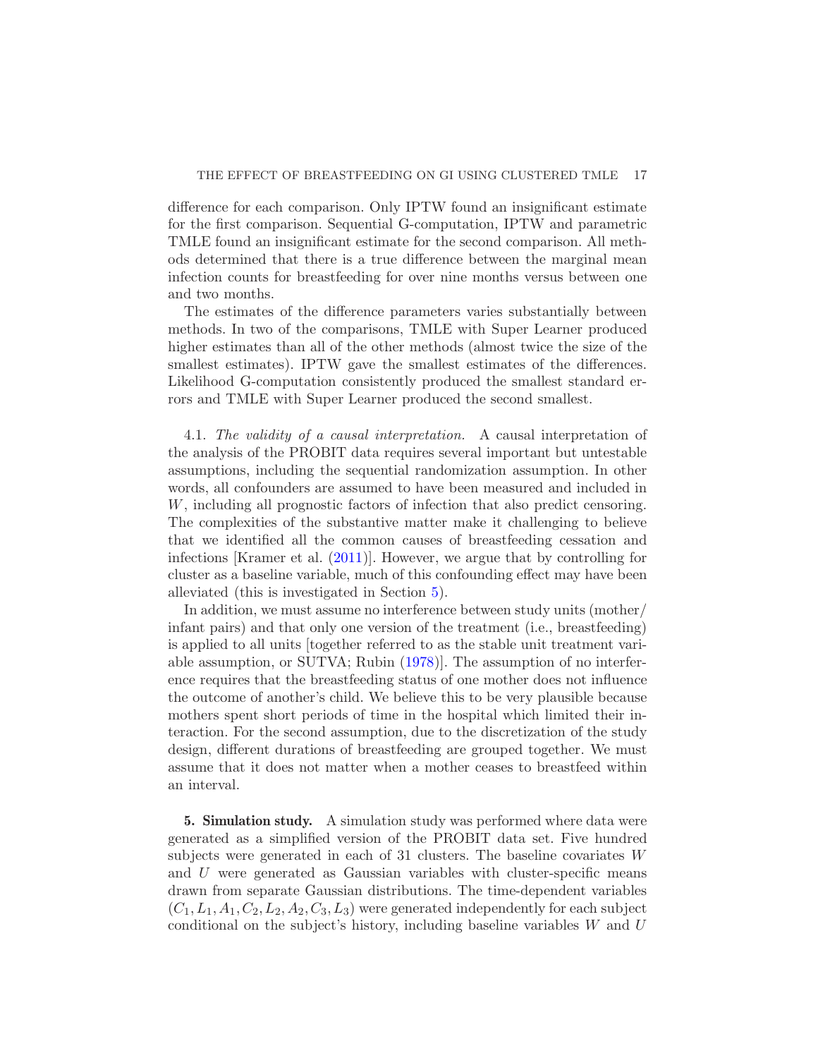difference for each comparison. Only IPTW found an insignificant estimate for the first comparison. Sequential G-computation, IPTW and parametric TMLE found an insignificant estimate for the second comparison. All methods determined that there is a true difference between the marginal mean infection counts for breastfeeding for over nine months versus between one and two months.

The estimates of the difference parameters varies substantially between methods. In two of the comparisons, TMLE with Super Learner produced higher estimates than all of the other methods (almost twice the size of the smallest estimates). IPTW gave the smallest estimates of the differences. Likelihood G-computation consistently produced the smallest standard errors and TMLE with Super Learner produced the second smallest.

<span id="page-16-0"></span>4.1. The validity of a causal interpretation. A causal interpretation of the analysis of the PROBIT data requires several important but untestable assumptions, including the sequential randomization assumption. In other words, all confounders are assumed to have been measured and included in W, including all prognostic factors of infection that also predict censoring. The complexities of the substantive matter make it challenging to believe that we identified all the common causes of breastfeeding cessation and infections [Kramer et al. [\(2011](#page-22-16))]. However, we argue that by controlling for cluster as a baseline variable, much of this confounding effect may have been alleviated (this is investigated in Section [5\)](#page-16-1).

In addition, we must assume no interference between study units (mother/ infant pairs) and that only one version of the treatment (i.e., breastfeeding) is applied to all units [together referred to as the stable unit treatment variable assumption, or SUTVA; Rubin [\(1978](#page-22-17))]. The assumption of no interference requires that the breastfeeding status of one mother does not influence the outcome of another's child. We believe this to be very plausible because mothers spent short periods of time in the hospital which limited their interaction. For the second assumption, due to the discretization of the study design, different durations of breastfeeding are grouped together. We must assume that it does not matter when a mother ceases to breastfeed within an interval.

<span id="page-16-1"></span>5. Simulation study. A simulation study was performed where data were generated as a simplified version of the PROBIT data set. Five hundred subjects were generated in each of 31 clusters. The baseline covariates W and U were generated as Gaussian variables with cluster-specific means drawn from separate Gaussian distributions. The time-dependent variables  $(C_1, L_1, A_1, C_2, L_2, A_2, C_3, L_3)$  were generated independently for each subject conditional on the subject's history, including baseline variables W and U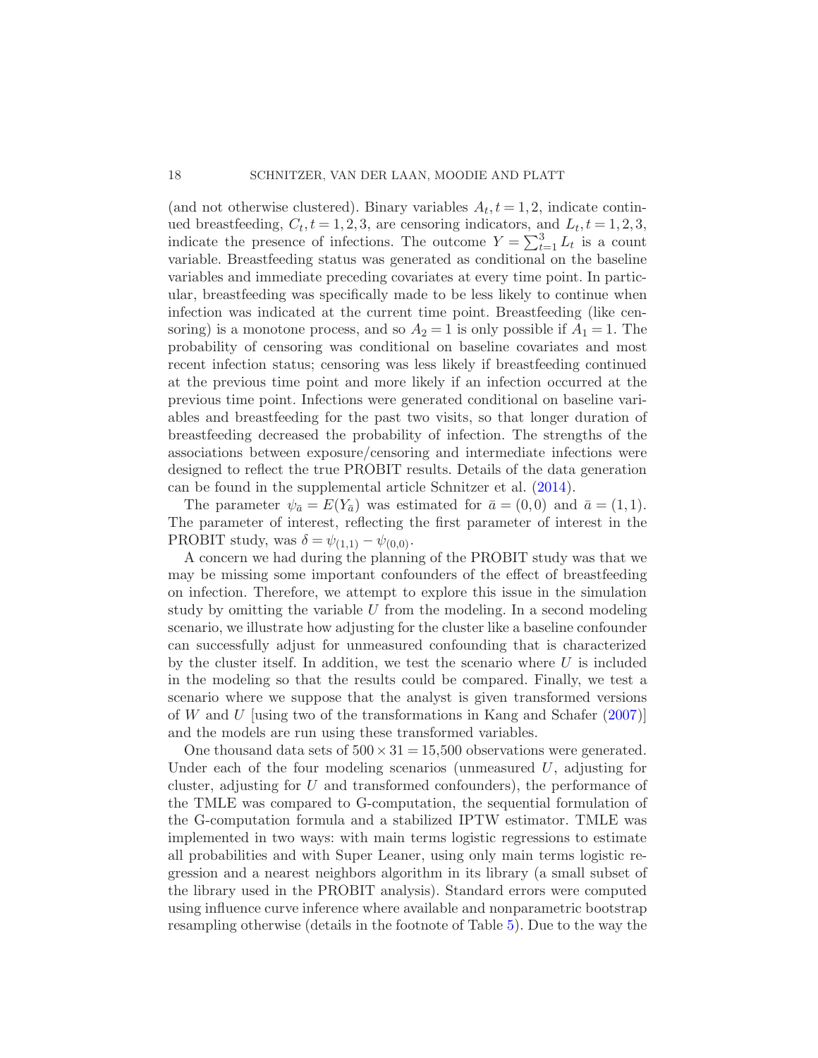(and not otherwise clustered). Binary variables  $A_t, t = 1, 2$ , indicate continued breastfeeding,  $C_t$ ,  $t = 1, 2, 3$ , are censoring indicators, and  $L_t$ ,  $t = 1, 2, 3$ , indicate the presence of infections. The outcome  $Y = \sum_{t=1}^{3} L_t$  is a count variable. Breastfeeding status was generated as conditional on the baseline variables and immediate preceding covariates at every time point. In particular, breastfeeding was specifically made to be less likely to continue when infection was indicated at the current time point. Breastfeeding (like censoring) is a monotone process, and so  $A_2 = 1$  is only possible if  $A_1 = 1$ . The probability of censoring was conditional on baseline covariates and most recent infection status; censoring was less likely if breastfeeding continued at the previous time point and more likely if an infection occurred at the previous time point. Infections were generated conditional on baseline variables and breastfeeding for the past two visits, so that longer duration of breastfeeding decreased the probability of infection. The strengths of the associations between exposure/censoring and intermediate infections were designed to reflect the true PROBIT results. Details of the data generation can be found in the supplemental article Schnitzer et al. [\(2014](#page-22-11)).

The parameter  $\psi_{\bar{a}} = E(Y_{\bar{a}})$  was estimated for  $\bar{a} = (0,0)$  and  $\bar{a} = (1,1)$ . The parameter of interest, reflecting the first parameter of interest in the PROBIT study, was  $\delta = \psi_{(1,1)} - \psi_{(0,0)}$ .

A concern we had during the planning of the PROBIT study was that we may be missing some important confounders of the effect of breastfeeding on infection. Therefore, we attempt to explore this issue in the simulation study by omitting the variable  $U$  from the modeling. In a second modeling scenario, we illustrate how adjusting for the cluster like a baseline confounder can successfully adjust for unmeasured confounding that is characterized by the cluster itself. In addition, we test the scenario where  $U$  is included in the modeling so that the results could be compared. Finally, we test a scenario where we suppose that the analyst is given transformed versions of W and U using two of the transformations in Kang and Schafer  $(2007)$ ] and the models are run using these transformed variables.

One thousand data sets of  $500 \times 31 = 15{,}500$  observations were generated. Under each of the four modeling scenarios (unmeasured  $U$ , adjusting for cluster, adjusting for  $U$  and transformed confounders), the performance of the TMLE was compared to G-computation, the sequential formulation of the G-computation formula and a stabilized IPTW estimator. TMLE was implemented in two ways: with main terms logistic regressions to estimate all probabilities and with Super Leaner, using only main terms logistic regression and a nearest neighbors algorithm in its library (a small subset of the library used in the PROBIT analysis). Standard errors were computed using influence curve inference where available and nonparametric bootstrap resampling otherwise (details in the footnote of Table [5\)](#page-18-0). Due to the way the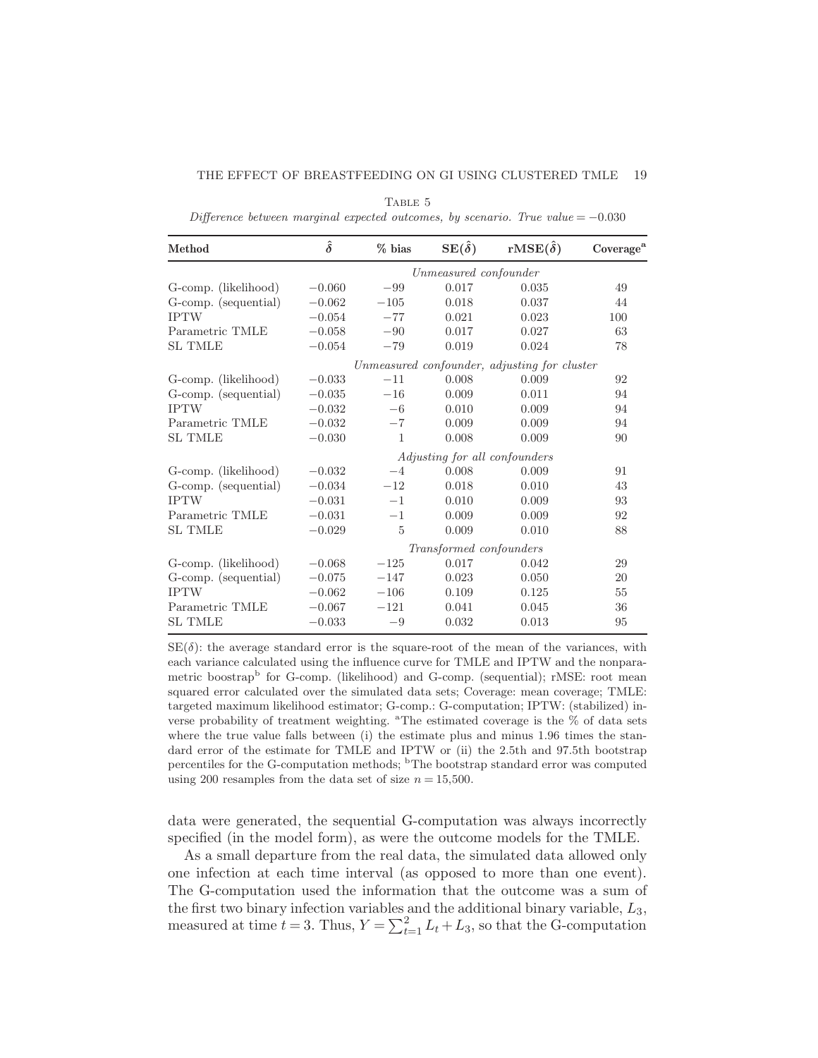# THE EFFECT OF BREASTFEEDING ON GI USING CLUSTERED TMLE 19

<span id="page-18-0"></span>

|  |  | TABLE 5                                                                           |  |  |  |
|--|--|-----------------------------------------------------------------------------------|--|--|--|
|  |  | Difference between marginal expected outcomes, by scenario. True value $= -0.030$ |  |  |  |

| Method               | $\hat{\delta}$ | $%$ bias       | $\mathrm{SE}(\hat{\delta})$   | $\text{rMSE}(\hat{\delta})$                  | Coverage <sup>a</sup> |
|----------------------|----------------|----------------|-------------------------------|----------------------------------------------|-----------------------|
|                      |                |                | Unmeasured confounder         |                                              |                       |
| G-comp. (likelihood) | $-0.060$       | $-99$          | 0.017                         | 0.035                                        | 49                    |
| G-comp. (sequential) | $-0.062$       | $-105$         | 0.018                         | 0.037                                        | 44                    |
| <b>IPTW</b>          | $-0.054$       | $-77$          | 0.021                         | 0.023                                        | 100                   |
| Parametric TMLE      | $-0.058$       | $-90$          | 0.017                         | 0.027                                        | 63                    |
| <b>SL TMLE</b>       | $-0.054$       | $-79$          | 0.019                         | 0.024                                        | 78                    |
|                      |                |                |                               | Unmeasured confounder, adjusting for cluster |                       |
| G-comp. (likelihood) | $-0.033$       | $-11$          | 0.008                         | 0.009                                        | 92                    |
| G-comp. (sequential) | $-0.035$       | $-16$          | 0.009                         | 0.011                                        | 94                    |
| <b>IPTW</b>          | $-0.032$       | $-6$           | 0.010                         | 0.009                                        | 94                    |
| Parametric TMLE      | $-0.032$       | $-7$           | 0.009                         | 0.009                                        | 94                    |
| <b>SL TMLE</b>       | $-0.030$       | $\mathbf{1}$   | 0.008                         | 0.009                                        | 90                    |
|                      |                |                | Adjusting for all confounders |                                              |                       |
| G-comp. (likelihood) | $-0.032$       | $-4$           | 0.008                         | 0.009                                        | 91                    |
| G-comp. (sequential) | $-0.034$       | $-12$          | 0.018                         | 0.010                                        | 43                    |
| <b>IPTW</b>          | $-0.031$       | $-1$           | 0.010                         | 0.009                                        | 93                    |
| Parametric TMLE      | $-0.031$       | $-1$           | 0.009                         | 0.009                                        | 92                    |
| <b>SL TMLE</b>       | $-0.029$       | $\overline{5}$ | 0.009                         | 0.010                                        | 88                    |
|                      |                |                | Transformed confounders       |                                              |                       |
| G-comp. (likelihood) | $-0.068$       | $-125$         | 0.017                         | 0.042                                        | 29                    |
| G-comp. (sequential) | $-0.075$       | $-147$         | 0.023                         | 0.050                                        | 20                    |
| <b>IPTW</b>          | $-0.062$       | $-106$         | 0.109                         | 0.125                                        | 55                    |
| Parametric TMLE      | $-0.067$       | $-121$         | 0.041                         | 0.045                                        | 36                    |
| <b>SL TMLE</b>       | $-0.033$       | $-9$           | 0.032                         | 0.013                                        | 95                    |

 $SE(\delta)$ : the average standard error is the square-root of the mean of the variances, with each variance calculated using the influence curve for TMLE and IPTW and the nonparametric boostrap<sup>b</sup> for G-comp. (likelihood) and G-comp. (sequential); rMSE: root mean squared error calculated over the simulated data sets; Coverage: mean coverage; TMLE: targeted maximum likelihood estimator; G-comp.: G-computation; IPTW: (stabilized) inverse probability of treatment weighting. <sup>a</sup>The estimated coverage is the % of data sets where the true value falls between (i) the estimate plus and minus 1.96 times the standard error of the estimate for TMLE and IPTW or (ii) the 2.5th and 97.5th bootstrap percentiles for the G-computation methods; <sup>b</sup>The bootstrap standard error was computed using 200 resamples from the data set of size  $n = 15,500$ .

data were generated, the sequential G-computation was always incorrectly specified (in the model form), as were the outcome models for the TMLE.

As a small departure from the real data, the simulated data allowed only one infection at each time interval (as opposed to more than one event). The G-computation used the information that the outcome was a sum of the first two binary infection variables and the additional binary variable,  $L_3$ , measured at time  $t = 3$ . Thus,  $Y = \sum_{t=1}^{2} L_t + L_3$ , so that the G-computation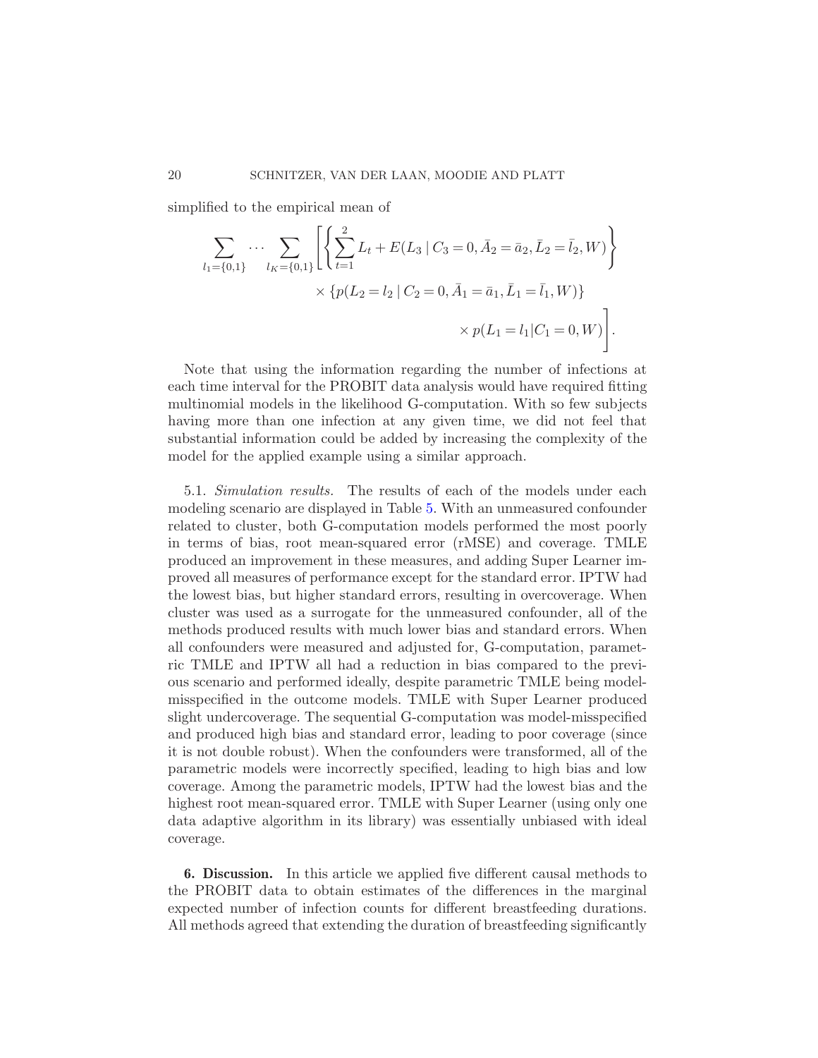simplified to the empirical mean of

$$
\sum_{l_1=\{0,1\}} \cdots \sum_{l_K=\{0,1\}} \left[ \left\{ \sum_{t=1}^2 L_t + E(L_3 \mid C_3 = 0, \bar{A}_2 = \bar{a}_2, \bar{L}_2 = \bar{l}_2, W) \right\} \times \left\{ p(L_2 = l_2 \mid C_2 = 0, \bar{A}_1 = \bar{a}_1, \bar{L}_1 = \bar{l}_1, W) \right\} \times p(L_1 = l_1 | C_1 = 0, W) \right].
$$

Note that using the information regarding the number of infections at each time interval for the PROBIT data analysis would have required fitting multinomial models in the likelihood G-computation. With so few subjects having more than one infection at any given time, we did not feel that substantial information could be added by increasing the complexity of the model for the applied example using a similar approach.

5.1. Simulation results. The results of each of the models under each modeling scenario are displayed in Table [5.](#page-18-0) With an unmeasured confounder related to cluster, both G-computation models performed the most poorly in terms of bias, root mean-squared error (rMSE) and coverage. TMLE produced an improvement in these measures, and adding Super Learner improved all measures of performance except for the standard error. IPTW had the lowest bias, but higher standard errors, resulting in overcoverage. When cluster was used as a surrogate for the unmeasured confounder, all of the methods produced results with much lower bias and standard errors. When all confounders were measured and adjusted for, G-computation, parametric TMLE and IPTW all had a reduction in bias compared to the previous scenario and performed ideally, despite parametric TMLE being modelmisspecified in the outcome models. TMLE with Super Learner produced slight undercoverage. The sequential G-computation was model-misspecified and produced high bias and standard error, leading to poor coverage (since it is not double robust). When the confounders were transformed, all of the parametric models were incorrectly specified, leading to high bias and low coverage. Among the parametric models, IPTW had the lowest bias and the highest root mean-squared error. TMLE with Super Learner (using only one data adaptive algorithm in its library) was essentially unbiased with ideal coverage.

6. Discussion. In this article we applied five different causal methods to the PROBIT data to obtain estimates of the differences in the marginal expected number of infection counts for different breastfeeding durations. All methods agreed that extending the duration of breastfeeding significantly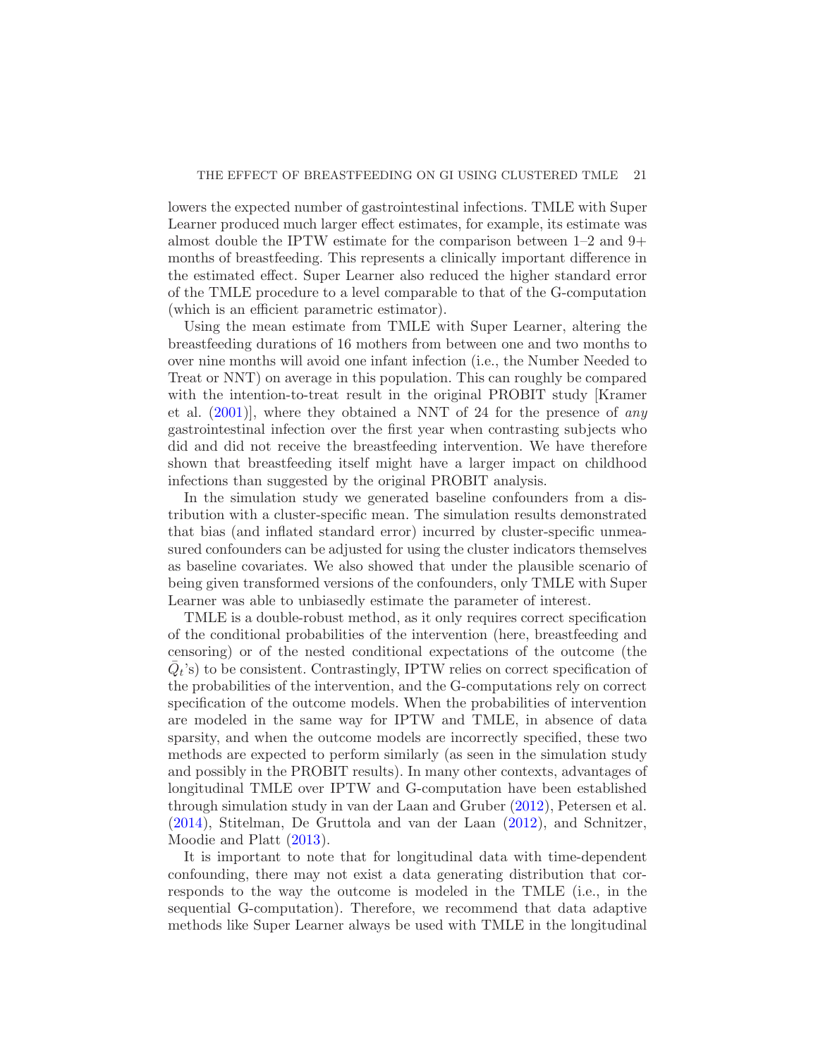lowers the expected number of gastrointestinal infections. TMLE with Super Learner produced much larger effect estimates, for example, its estimate was almost double the IPTW estimate for the comparison between 1–2 and 9+ months of breastfeeding. This represents a clinically important difference in the estimated effect. Super Learner also reduced the higher standard error of the TMLE procedure to a level comparable to that of the G-computation (which is an efficient parametric estimator).

Using the mean estimate from TMLE with Super Learner, altering the breastfeeding durations of 16 mothers from between one and two months to over nine months will avoid one infant infection (i.e., the Number Needed to Treat or NNT) on average in this population. This can roughly be compared with the intention-to-treat result in the original PROBIT study [Kramer et al.  $(2001)$ , where they obtained a NNT of 24 for the presence of *any* gastrointestinal infection over the first year when contrasting subjects who did and did not receive the breastfeeding intervention. We have therefore shown that breastfeeding itself might have a larger impact on childhood infections than suggested by the original PROBIT analysis.

In the simulation study we generated baseline confounders from a distribution with a cluster-specific mean. The simulation results demonstrated that bias (and inflated standard error) incurred by cluster-specific unmeasured confounders can be adjusted for using the cluster indicators themselves as baseline covariates. We also showed that under the plausible scenario of being given transformed versions of the confounders, only TMLE with Super Learner was able to unbiasedly estimate the parameter of interest.

TMLE is a double-robust method, as it only requires correct specification of the conditional probabilities of the intervention (here, breastfeeding and censoring) or of the nested conditional expectations of the outcome (the  $\overline{Q}_t$ 's) to be consistent. Contrastingly, IPTW relies on correct specification of the probabilities of the intervention, and the G-computations rely on correct specification of the outcome models. When the probabilities of intervention are modeled in the same way for IPTW and TMLE, in absence of data sparsity, and when the outcome models are incorrectly specified, these two methods are expected to perform similarly (as seen in the simulation study and possibly in the PROBIT results). In many other contexts, advantages of longitudinal TMLE over IPTW and G-computation have been established through simulation study in van der Laan and Gruber [\(2012](#page-23-3)), Petersen et al. [\(2014\)](#page-22-18), Stitelman, De Gruttola and van der Laan [\(2012](#page-22-6)), and Schnitzer, Moodie and Platt  $(2013)$ .

It is important to note that for longitudinal data with time-dependent confounding, there may not exist a data generating distribution that corresponds to the way the outcome is modeled in the TMLE (i.e., in the sequential G-computation). Therefore, we recommend that data adaptive methods like Super Learner always be used with TMLE in the longitudinal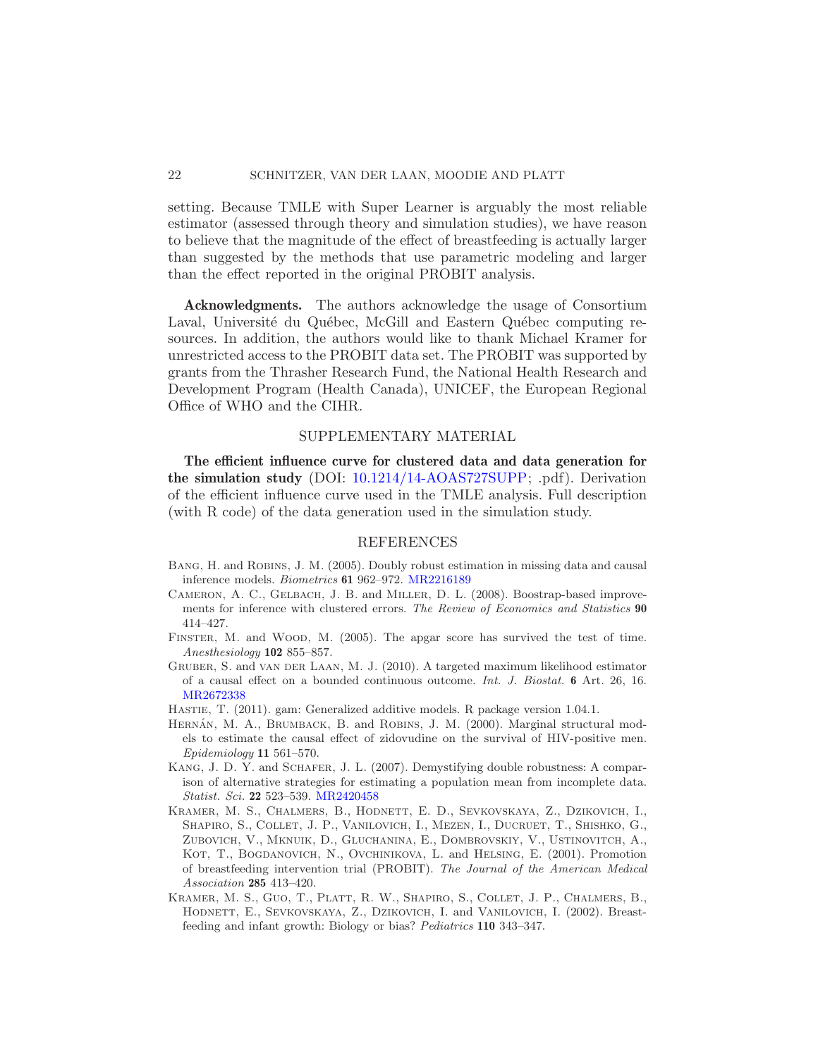setting. Because TMLE with Super Learner is arguably the most reliable estimator (assessed through theory and simulation studies), we have reason to believe that the magnitude of the effect of breastfeeding is actually larger than suggested by the methods that use parametric modeling and larger than the effect reported in the original PROBIT analysis.

Acknowledgments. The authors acknowledge the usage of Consortium Laval, Université du Québec, McGill and Eastern Québec computing resources. In addition, the authors would like to thank Michael Kramer for unrestricted access to the PROBIT data set. The PROBIT was supported by grants from the Thrasher Research Fund, the National Health Research and Development Program (Health Canada), UNICEF, the European Regional Office of WHO and the CIHR.

#### SUPPLEMENTARY MATERIAL

The efficient influence curve for clustered data and data generation for the simulation study (DOI: [10.1214/14-AOAS727SUPP;](http://dx.doi.org/10.1214/14-AOAS727SUPP) .pdf). Derivation of the efficient influence curve used in the TMLE analysis. Full description (with R code) of the data generation used in the simulation study.

#### REFERENCES

- <span id="page-21-3"></span>Bang, H. and Robins, J. M. (2005). Doubly robust estimation in missing data and causal inference models. Biometrics 61 962–972. [MR2216189](http://www.ams.org/mathscinet-getitem?mr=2216189)
- <span id="page-21-6"></span>CAMERON, A. C., GELBACH, J. B. and MILLER, D. L. (2008). Boostrap-based improvements for inference with clustered errors. The Review of Economics and Statistics 90 414–427.
- <span id="page-21-5"></span>Finster, M. and Wood, M. (2005). The apgar score has survived the test of time. Anesthesiology 102 855–857.
- <span id="page-21-4"></span>GRUBER, S. and VAN DER LAAN, M. J. (2010). A targeted maximum likelihood estimator of a causal effect on a bounded continuous outcome. Int. J. Biostat. 6 Art. 26, 16. [MR2672338](http://www.ams.org/mathscinet-getitem?mr=2672338)
- <span id="page-21-7"></span>Hastie, T. (2011). gam: Generalized additive models. R package version 1.04.1.
- <span id="page-21-2"></span>HERNÁN, M. A., BRUMBACK, B. and ROBINS, J. M. (2000). Marginal structural models to estimate the causal effect of zidovudine on the survival of HIV-positive men. Epidemiology 11 561–570.
- <span id="page-21-8"></span>KANG, J. D. Y. and SCHAFER, J. L. (2007). Demystifying double robustness: A comparison of alternative strategies for estimating a population mean from incomplete data. Statist. Sci. 22 523–539. [MR2420458](http://www.ams.org/mathscinet-getitem?mr=2420458)
- <span id="page-21-0"></span>Kramer, M. S., Chalmers, B., Hodnett, E. D., Sevkovskaya, Z., Dzikovich, I., SHAPIRO, S., COLLET, J. P., VANILOVICH, I., MEZEN, I., DUCRUET, T., SHISHKO, G., Zubovich, V., Mknuik, D., Gluchanina, E., Dombrovskiy, V., Ustinovitch, A., KOT, T., BOGDANOVICH, N., OVCHINIKOVA, L. and HELSING, E. (2001). Promotion of breastfeeding intervention trial (PROBIT). The Journal of the American Medical Association 285 413–420.
- <span id="page-21-1"></span>Kramer, M. S., Guo, T., Platt, R. W., Shapiro, S., Collet, J. P., Chalmers, B., Hodnett, E., Sevkovskaya, Z., Dzikovich, I. and Vanilovich, I. (2002). Breastfeeding and infant growth: Biology or bias? Pediatrics 110 343–347.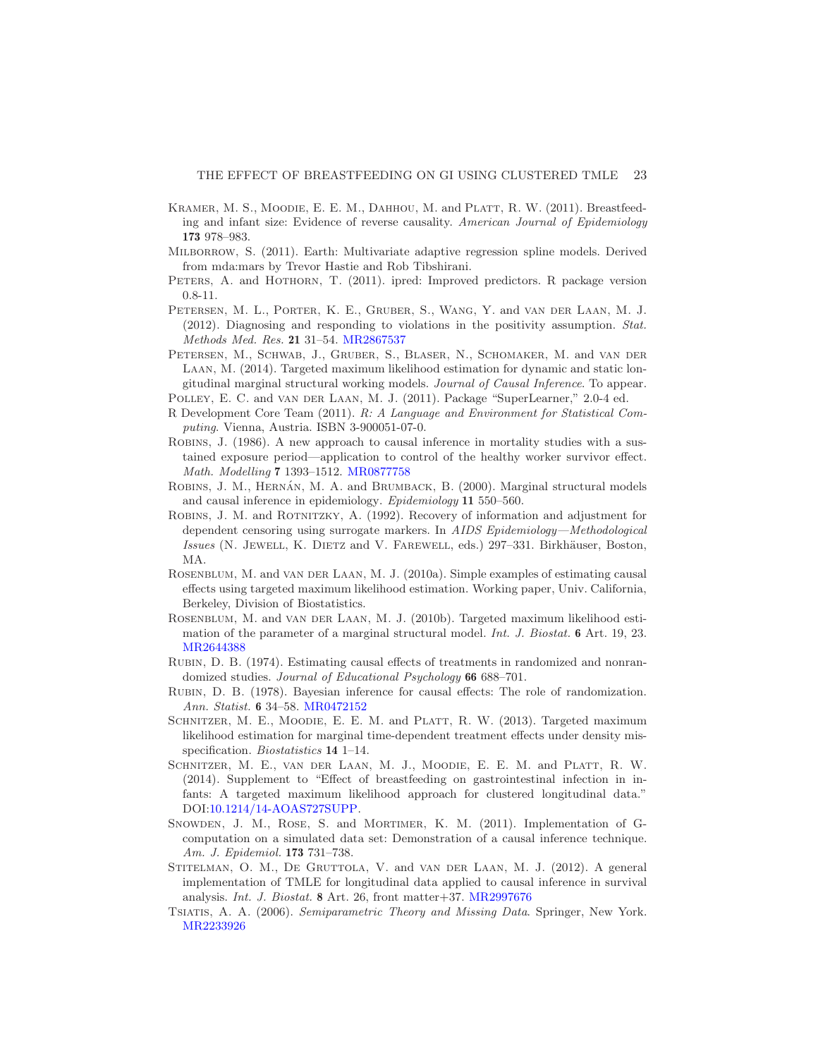- <span id="page-22-16"></span>KRAMER, M. S., MOODIE, E. E. M., DAHHOU, M. and PLATT, R. W. (2011). Breastfeeding and infant size: Evidence of reverse causality. American Journal of Epidemiology 173 978–983.
- <span id="page-22-15"></span>Milborrow, S. (2011). Earth: Multivariate adaptive regression spline models. Derived from mda:mars by Trevor Hastie and Rob Tibshirani.
- <span id="page-22-14"></span>PETERS, A. and HOTHORN, T. (2011). ipred: Improved predictors. R package version 0.8-11.
- <span id="page-22-3"></span>Petersen, M. L., Porter, K. E., Gruber, S., Wang, Y. and van der Laan, M. J. (2012). Diagnosing and responding to violations in the positivity assumption. Stat. Methods Med. Res. 21 31–54. [MR2867537](http://www.ams.org/mathscinet-getitem?mr=2867537)
- <span id="page-22-18"></span>Petersen, M., Schwab, J., Gruber, S., Blaser, N., Schomaker, M. and van der Laan, M. (2014). Targeted maximum likelihood estimation for dynamic and static longitudinal marginal structural working models. Journal of Causal Inference. To appear. POLLEY, E. C. and VAN DER LAAN, M. J. (2011). Package "SuperLearner," 2.0-4 ed.
- <span id="page-22-13"></span><span id="page-22-12"></span>R Development Core Team (2011). R: A Language and Environment for Statistical Computing. Vienna, Austria. ISBN 3-900051-07-0.
- <span id="page-22-0"></span>Robins, J. (1986). A new approach to causal inference in mortality studies with a sustained exposure period—application to control of the healthy worker survivor effect. Math. Modelling 7 1393–1512. [MR0877758](http://www.ams.org/mathscinet-getitem?mr=0877758)
- <span id="page-22-1"></span>ROBINS, J. M., HERNÁN, M. A. and BRUMBACK, B. (2000). Marginal structural models and causal inference in epidemiology. Epidemiology 11 550–560.
- <span id="page-22-2"></span>Robins, J. M. and Rotnitzky, A. (1992). Recovery of information and adjustment for dependent censoring using surrogate markers. In AIDS Epidemiology—Methodological Issues (N. JEWELL, K. DIETZ and V. FAREWELL, eds.) 297–331. Birkhäuser, Boston, MA.
- <span id="page-22-4"></span>ROSENBLUM, M. and VAN DER LAAN, M. J. (2010a). Simple examples of estimating causal effects using targeted maximum likelihood estimation. Working paper, Univ. California, Berkeley, Division of Biostatistics.
- <span id="page-22-10"></span>ROSENBLUM, M. and VAN DER LAAN, M. J. (2010b). Targeted maximum likelihood estimation of the parameter of a marginal structural model. *Int. J. Biostat.* **6** Art. 19, 23. [MR2644388](http://www.ams.org/mathscinet-getitem?mr=2644388)
- <span id="page-22-7"></span>Rubin, D. B. (1974). Estimating causal effects of treatments in randomized and nonrandomized studies. Journal of Educational Psychology 66 688–701.
- <span id="page-22-17"></span>Rubin, D. B. (1978). Bayesian inference for causal effects: The role of randomization. Ann. Statist. 6 34–58. [MR0472152](http://www.ams.org/mathscinet-getitem?mr=0472152)
- <span id="page-22-5"></span>SCHNITZER, M. E., MOODIE, E. E. M. and PLATT, R. W. (2013). Targeted maximum likelihood estimation for marginal time-dependent treatment effects under density misspecification. Biostatistics 14 1-14.
- <span id="page-22-11"></span>Schnitzer, M. E., van der Laan, M. J., Moodie, E. E. M. and Platt, R. W. (2014). Supplement to "Effect of breastfeeding on gastrointestinal infection in infants: A targeted maximum likelihood approach for clustered longitudinal data." DOI[:10.1214/14-AOAS727SUPP.](http://dx.doi.org/10.1214/14-AOAS727SUPP)
- <span id="page-22-8"></span>Snowden, J. M., Rose, S. and Mortimer, K. M. (2011). Implementation of Gcomputation on a simulated data set: Demonstration of a causal inference technique. Am. J. Epidemiol. 173 731–738.
- <span id="page-22-6"></span>Stitelman, O. M., De Gruttola, V. and van der Laan, M. J. (2012). A general implementation of TMLE for longitudinal data applied to causal inference in survival analysis. Int. J. Biostat. 8 Art. 26, front matter+37. [MR2997676](http://www.ams.org/mathscinet-getitem?mr=2997676)
- <span id="page-22-9"></span>Tsiatis, A. A. (2006). Semiparametric Theory and Missing Data. Springer, New York. [MR2233926](http://www.ams.org/mathscinet-getitem?mr=2233926)